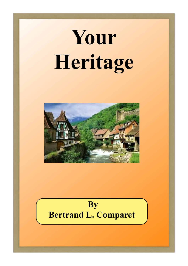# **Your Heritage**



## **By Bertrand L. Comparet**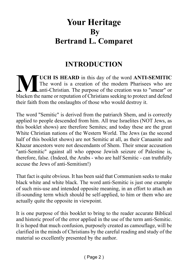## **Your Heritage By Bertrand L. Comparet**

## **INTRODUCTION**

**MUCH IS HEARD** in this day of the word **ANTI-SEMITIC**<br>The word is a creation of the modern Pharisees who are<br>blacken the name or reputation of Christians seeking to protect and defend **UCH IS HEARD** in this day of the word **ANTI-SEMITIC** The word is a creation of the modern Pharisees who are anti-Christian. The purpose of the creation was to "smear" or their faith from the onslaughts of those who would destroy it.

The word "Semitic" is derived from the patriarch Shem, and is correctly applied to people descended from him. All true Israelites (NOT Jews, as this booklet shows) are therefore Semites; and today these are the great White Christian nations of the Western World. The Jews (as the second half of this booklet shows) are not Semitic at all, as their Canaanite and Khazar ancestors were not descendants of Shem. Their smear accusation "anti-Semitic" against all who oppose Jewish seizure of Palestine is, therefore, false. (Indeed, the Arabs - who are half Semitic - can truthfully accuse the Jews of anti-Semitism!)

That fact is quite obvious. It has been said that Communism seeks to make black white and white black. The word anti-Semitic is just one example of such mis-use and intended opposite meaning, in an effort to attach an ill-sounding term which should be self-applied, to him or them who are actually quite the opposite in viewpoint.

It is one purpose of this booklet to bring to the reader accurate Biblical and historic proof of the error applied in the use of the term anti-Semitic. It is hoped that much confusion, purposely created as camouflage, will be clarified in the minds of Christians by the careful reading and study of the material so excellently presented by the author.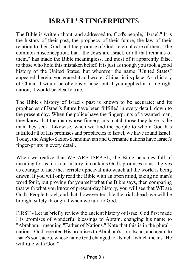## **ISRAEL' S FINGERPRINT**S

The Bible is written about, and addressed to, God's people, "Israel." It is the history of their past, the prophecy of their future, the law of their relation to their God, and the promise of God's eternal care of them, The common misconception, that "the Jews are Israel, or all that remains of them," has made the Bible meaningless, and most of it apparently false, to those who hold this mistaken belief. It is just as though you took a good history of the United States, but wherever the name "United States" appeared therein, you erased it and wrote "China" in its place. As a history of China, it would be obviously false; but if you applied it to me right nation, it would be clearly true.

The Bible's history of Israel's past is known to be accurate; and its prophecies of Israel's future have been fulfilled in every detail, down to the present day. When the police have the fingerprints of a wanted man, they know that the man whose fingerprints match those they have is the man they seek. Likewise, when we find the people to whom God has fulfilled all of His promises and prophecies to Israel, we have found Israel! Today, the Anglo-Saxon-Scandinavian and Germanic nations have Israel's finger-prints in every detail.

When we realize that WE ARE ISRAEL, the Bible becomes full of meaning for us: it is our history, it contains God's promises to us. It gives us courage to face the. terrible upheaval into which all the world is being drawn. If you will only read the Bible with an open mind, taking no man's word for it, but proving for yourself what the Bible says, then comparing that with what you know of present-day history, you will see that WE are God's People Israel, and that, however terrible the trial ahead, we will be brought safely through it when we turn to God.

FIRST - Let us briefly review the ancient history of Israel God first made His promises of wonderful blessings to Abram, changing his name to "Abraham," meaning "Father of Nations." Note that this is in the plural nations. God repeated His promises to Abraham's son, Isaac; and again to Isaac's son Jacob, whose name God changed to ''Israel,'' which means ''He will rule with God."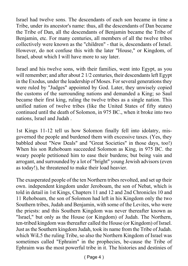Israel had twelve sons. The descendants of each son became in time a Tribe, under its ancestor's name: thus, all the descendants of Dan became the Tribe of Dan, all the descendants of Benjamin became the Tribe of Benjamin, etc. For many centuries, all members of all the twelve tribes collectively were known as the "children" - that is, descendants of Israel. However, do not confuse this with the later "House," or Kingdom, of Israel, about which I will have more to say later.

Israel and his twelve sons, with their families, went into Egypt, as you will remember; and after about 2 1/2 centuries, their descendants left Egypt in the Exodus, under the leadership of Moses. For several generations they were ruled by "Judges" appointed by God. Later, they unwisely copied the customs of the surrounding nations and demanded a King; so Saul became their first king, ruling the twelve tribes as a single nation. This unified nation of twelve tribes (like the United States of fifty states) continued until the death of Solomon, in 975 BC., when it broke into two nations, Israel and Judah .

1st Kings 11-12 tell us how Solomon finally fell into idolatry, misgoverned the people and burdened them with excessive taxes. (Yes, they babbled about "New Deals" and "Great Societies" in those days, too!) When his son Rehoboam succeeded Solomon as King, in 975 BC. the weary people petitioned him to ease their burdens; but being vain and arrogant, and surrounded by a lot of "bright" young Jewish advisors (even as today!), he threatened to make their load heavier.

The exasperated people of the ten Northern tribes revolted, and set up their own. independent kingdom under Jeroboam, the son of Nebat, which is told in detail in 1st Kings, Chapters 11 and 12 and 2nd Chronicles 10 and 11 Rehoboam, the son of Solomon had left in his Kingdom only the two Southern tribes, Judah and Benjamin, with some of the Levites, who were the priests: and this Southern Kingdom was never thereafter known as "Israel," but only as the House (or Kingdom) of Judah. The Northern, ten-tribed kingdom was thereafter called the House (or Kingdom) of Israel. Just as the Southern kingdom Judah, took its name from the Tribe of Judah. which WiL5 the ruling Tribe, so also the Northern Kingdom of Israel was sometimes called "Ephraim" in the prophecies, be-cause the Tribe of Ephraim was the most powerful tribe in it. The histories and destinies of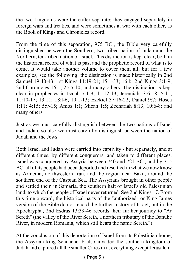the two kingdoms were thereafter separate: they engaged separately in foreign wars and treaties, and were sometimes at war with each other, as the Book of Kings and Chronicles record.

From the time of this separation, 975 BC., the Bible very carefully distinguished between the Southern, two tribed nation of Judah and the Northern, ten-tribed nation of Israel. This distinction is kept clear, both in the historical record of what is past and the prophetic record of what is to come. It would take another volume to cover them all; but for a few examples, see the following: the distinction is made historically in 2nd Samuel 19:40-43; 1st Kings 14:19-21; 15:1-33; 16:b; 2nd Kings 3:1-9; 2nd Chronicles 16:1; 25:5-10; and many others. The distinction is kept clear in prophecies in Isaiah 7:1-9; 11:12-13; Jeremiah :3:6-18; 5:11; 11:10-17; 13:11; 18:l-6; 19:1-13; Ezekiel 37:16-22; Daniel 9:7; Hosea 1:11; 4:15; 5:9-15; Amos 1:1; Micah 1:5; Zechariah 8:13; 10:6-8; and many others.

Just as we must carefully distinguish between the two nations of Israel and Judah, so also we must carefully distinguish between the nation of Judah and the Jews.

Both Israel and Judah were carried into captivity - but separately, and at different times, by different conquerors, and taken to different places. Israel was conquered by Assyria between 740 and 721 BC., and by 715 BC. all of its people had been deported and resettled in what we now know as Armenia, northwestern Iran, and the region near Baku, around the southern end of the Caspian Sea. The Assyrians brought in other people and settled them in Samaria, the southern halt of Israel's old Palestinian land, to which the people of Israel never returned. See 2nd Kings 17. From this time onward, the historical parts of the "authorized" or King James version of the Bible do not record the further history of Israel; but in the Apochrypha, 2nd Esdras 13:39-46 records their further journey to "Ar Sereth" (the valley of the River Sereth, a northern tributary of the Danube River, in modern Romania, which still bears the name Sereth.")

At the conclusion of this deportation of Israel from its Palestinian home, the Assyrian king Sennacherib also invaded the southern kingdom of Judah and captured all the smaller Cities in it, everything except Jerusalem.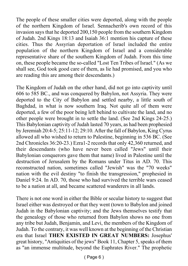The people of these smaller cities were deported, along with the people of the northern Kingdom of Israel. Sennacherib's own record of this invasion says that he deported 200,150 people from the southern Kingdom of Judah. 2nd Kings 18:13 and Isaiah 36:1 mention his capture of these cities. Thus the Assyrian deportation of Israel included the entire population of the northern Kingdom of Israel and a considerable representative share of the southern Kingdom of Judah. From this time on, these people became the so-called "Lost Ten Tribes of Israel." (As we shall see, God took good care of them, as lie had promised, and you who are reading this are among their descendants.)

The Kingdom of Judah on the other hand, did not go into captivity until 606 to 585 BC., and was conquered by Babylon, not Assyria. They were deported to the City of Babylon and settled nearby, a little south of Baghdad, in what is now southern Iraq. Not quite all of them were deported, a few of the poor being left behind to cultivate the land, and no other people were brought in to settle the land. (See 2nd Kings 24-25.) This Babylonian captivity of Judah lasted 70 years, as had been prophesied by Jeremiah 20:4-5; 25:11-12; 29:10. After the fall of Babylon, King Cyrus allowed all who wished to return to Palestine, beginning in 536 BC. (See 2nd Chronicles 36:20-23.) Ezra1-2 records that only 42,360 returned, and their descendants (who have never been called "Jews" until their Babylonian conquerors gave them that name) lived in Palestine until the destruction of Jerusalem by the Romans under Titus in AD. 70. This reconstructed nation, sometimes called "Jewish" was the "70 weeks" nation with the evil destiny "to finish the transgression," prophesied in Daniel 9:24. In AD. 70, those who had survived the terrible wars ceased to be a nation at all, and became scattered wanderers in all lands.

There is not one word in either the Bible or secular history to suggest that Israel either was destroyed or that they went (town to Babylon and joined Judah in the Babylonian captivity; and the Jews themselves testify that the genealogy of those who returned from Babylon shows no one from any tribe but Judah, Benjamin, and Levi, the members of the Kingdom of Judah. To the contrary, it was well known at the beginning of the Christian era that Israel **THEN EXISTED IN GREAT NUMBERS:** Josephus' great history, "Antiquities of the jews" Book 11, Chapter 5, speaks of them as "an immense multitude, beyond the Euphrates River." The prophetic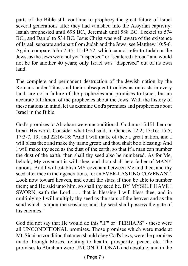parts of the Bible still continue to prophecy the great future of Israel several generations after they had vanished into the Assyrian captivity: Isaiah prophesied until 698 BC., Jeremiah until 588 BC. Ezekiel to 574 BC., and Daniel to 534 BC. Jesus Christ was well aware of the existence of Israel, separate and apart from Judah and the Jews; see Matthew 10:5-6. Again, compare John 7:35; 11:49-52, which cannot refer to Judah or the Jews, as the Jews were not yet "dispersed" or "scattered abroad" and would not be for another 40 years; only Israel was "dispersed" out of its own land.

The complete and permanent destruction of the Jewish nation by the Romans under Titus, and their subsequent troubles as outcasts in every land, are not a failure of the prophecies and promises to Israel, but an accurate fulfilment of the prophecies about the Jews. With the history of these nations in mind, let us examine God's promises and prophecies about Israel in the Bible.

God's promises to Abraham were unconditional. God must fulfil them or break His word. Consider what God said, in Genesis 12:2; 13:16; 15:5; 17:3-7, 19; and 22:16-18: "And I will make of thee a great nation, and I will bless thee and make thy name great: and thou shalt be a blessing: And I will make thy seed as the dust of the earth; so that if a man can number the dust of the earth, then shall thy seed also be numbered. As for Me, behold, My covenant is with thee, and thou shalt be a father of MANY nations. And I will establish MY covenant between Me and thee, and thy seed after thee in their generations, for an EVER-LASTING COVENANT. Look now toward heaven, and count the stars, if thou be able to number them; and He said unto him, so shall thy seed be. BY MYSELF HAVE I SWORN, saith the Lord . . . that in blessing I will bless thee, and in multiplying I will multiply thy seed as the stars of the heaven and as the sand which is upon the seashore; and thy seed shall possess the gate of his enemies."

God did not say that He would do this "IF" or "PERHAPS" - these were all UNCONDITIONAL promises. Those promises which were made at Mt. Sinai on condition that men should obey Cod's laws, were the promises made through Moses, relating to health, prosperity, peace, etc. The promises to Abraham were UNCONDITIONAL and absolute; and in the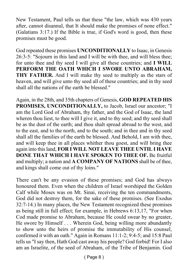New Testament, Paul tells us that these "the law, which was 430 years after, cannot disannul, that It should make the promises of none effect." (Galatians 3:17.) If the Bible is true, if God's word is good, then these promises must be good.

God repeated these promises **UNCONDITIONALLY** to Isaac, in Genesis 26:3-5: "Sojourn in this land and I will be with thee, and will bless thee; for unto thee and thy seed I will give all these countries; and **I WILL PERFORM THE OATH WHICH I SWORE UNTO ABRAHAM, THY FATHER.** And I will make thy seed to multiply as the stars of heaven, and will give unto thy seed all of these countries; and in thy seed shall all the nations of the earth be blessed."

Again, in the 28th, and 35th chapters of Genesis, **GOD REPEATED HIS PROMISES, UNCONDITIONALLY,** to Jacob, Israel our ancestor; "I am the Lord God of Abraham, thy father, and the God of Isaac, the land wheren thou liest, to thee will I give it, and to thy seed; and thy seed shall be as the dust of the earth; and thou shalt spread abroad to the west, and to the east, and to the north, and to the south; and in thee and in thy seed shall all the families of the earth be blessed. And Behold, I am with thee, and will keep thee in all places whither thou goest, and will bring thee again into this land, **FOR I WILL NOT LEAVE THEE UNTIL I HAVE DONE THAT WHICH I HAVE SPOKEN TO THEE OF.** Be fruitful and multiply; a nation and **A COMPANY OF NATIONS** shall be of thee, and kings shall come out of thy loins."

There can't be any evasion of these promises; and God has always honoured them. Even when the children of Israel worshiped the Golden Calf while Moses was on Mt. Sinai, receiving the ten commandments, God did not destroy them, for the sake of these promises. (See Exodus 32:7-14.) In many places, the New Testament recognized these promises as being still in full effect; for example, in Hebrews 6:13,17, "For when Cod made promise to Abraham, because He could swear by no greater, He swore by Himself . . . Wherein God, being willing more abundantly to show unto the heirs of promise the immutability of His counsel, confirmed it with an oath." Again in Romans 11:1-2; 9:4-5; and 15:8 Paul tells us "I say then, Hath God cast away his people? God forbid! For I also am an Israelite, of the seed of Abraham, of the Tribe of Benjamin. God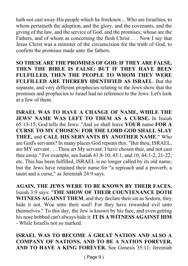hath not cast away His people which he foreknew... Who are Israelites, to whom pertaineth the adoption, and the glory, and the covenants, and the giving of the law, and the service of God, and the promises; whose are the Fathers, and of whom as concerning the flesh Christ . . . Now I say that Jesus Christ was a minister of the circumcision for the truth of God, to confirm the promises made unto the fathers.

**SO THESE ARE THE PROMISES OF GOD: IF THEY ARE FALSE, THEN THE BIBLE IS FALSE: BUT IF THEY HAVE BEEN FULFILLED, THEN THE PEOPLE TO WHOM THEY WERE FULFILLED ARE THEREBY IDENTIFIED AS ISRAEL**. But the separate, and very different prophecies relating to the Jews show that the promises and prophecies to Israel had no reference to the Jews. Let's look at a few of them.

**ISRAEL WAS TO HAVE A CHANGE OF NAME, WHILE THE JEWS' NAME WAS LEFT TO THEM AS A CURSE.** In Isaiah 65:13-15, God tells the Jews: "And ye shall leave **YOUR** name **FOR A CURSE TO MY CHOSEN: FOR THE LORD GOD SHALL SLAY THEE,** and **CALL HIS SERVANTS BY ANOTHER NAME**." Who are God's servants? In many places God repeats this: "But thou, ISRAEL, are MY servant . . . Thou art My servant: I have chosen thee, and not cast thee away." For example, see Isaiah 41:8-10; 43:1, and 10; 44:1-2, 21-22; etc. This has been fulfilled, ISRAEL is no longer called by its old name; but the Jews have retained their name for "a reproach and a proverb, a taunt and a curse," as Jeremiah 24:9 says.

**AGAIN, THE JEWS WERE TO BE KNOWN BY THEIR FACES.** Isaiah 3:9 says: "**THE SHOW OF THEIR COUNTENANCE DOTH WITNESS AGAINST THEM**, and they declare their sin as Sodom, they hide it not. Woe unto their soul! For they have rewarded evil unto themselves." To this day, the Jew is known by his face, and even getting his nose bobbed can't always hide it:**IT IS A WITNESS AGAINST HIM** - While Israelis not so marked.

**ISRAEL WAS TO BECOME A GREAT NATION AND ALSO A COMPANY OF NATIONS, AND TO BE A NATION FOREVER, AND TO HAVE A KING FOREVER.** See Genesis 35:11; Jeremiah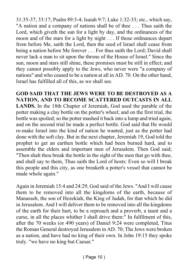31:35-37; 33:17; Psalm 89:3-4; Isaiah 9:7; Luke 1:32-33; etc., which say, "A nation and a company of nations shall be of thee . . . Thus saith the Lord, which giveth the sun for a light by day, and the ordinances of the moon and of the stars for a light by night . . . If those ordinances depart from before Me, saith the Lord, then the seed of Israel shall cease from being a nation before Me forever . . . For thus saith the Lord; David shall never lack a man to sit upon the throne of the House of Israel." Since the sun, moon and stars still shine, these promises must be still in effect; and they cannot possibly apply to the Jews, who never were "a company of nations" and who ceased to be a nation at all in AD. 70. On the other hand, Israel has fulfilled all of this, as we shall see.

**GOD SAID THAT THE JEWS WERE TO BE DESTROYED AS A NATION, AND TO BECOME SCATTERED OUTCASTS IN ALL LANDS.** In the 18th Chapter of Jeremiah, God used the parable of the potter making a clay bottle on the potter's wheel; and on the first trial, the bottle was spoiled; so the potter mashed it back into a lump and tried again, and on the second trial he made a perfect bottle. God said that He would re-make Israel into the kind of nation he wanted, just as the potter had done with the soft clay. But in the next chapter, Jeremiah 19, God told the prophet to get an earthen bottle which had been burned hard, and to assemble the elders and important men of Jerusalem. Then God said; "Then shalt thou break the bottle in the sight of the men that go with thee, and shall say to them, Thus saith the Lord of hosts: Even so will I break this people and this city, as one breaketh a potter's vessel that cannot be made whole again."

Again in Jeremiah 15:4 and 24:29, God said of the Jews. "And I will cause them to be removed into all the kingdoms of the earth, because of Manasseh, the son of Hezekiah, the King of Judah, for that which he did in Jerusalem. And I will deliver them to be removed into all the kingdoms of the earth for their hurt, to be a reproach and a proverb, a taunt and a curse, in all the places whither I shall drive them:" In fulfilment of this, after the 70 weeks (or 490 years) of Daniel 9:24 were completed, Titus the Roman General destroyed Jerusalem in AD. 70; The Jews were broken as a nation, and have had no king of their own. In John 19:15 they spoke truly. "we have no king but Caesar."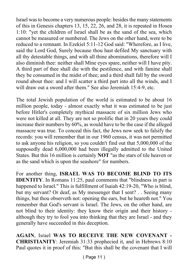Israel was to become a very numerous people: besides the many statements of this in Genesis chapters 13, 15, 22, 26, and 28, it is repeated in Hosea 1:10: "yet the children of Israel shall be as the sand of the sea, which cannot be measured or numbered. The Jews on the other hand, were to be reduced to a remnant. In Ezekiel 5:11-12 God said: "Wherefore, as I live, said the Lord God, Surely because thou hast defiled My sanctuary with all thy detestable things, and with all thine abominations, therefore will I also diminish thee: neither shall Mine eyes spare, neither will I have pity. A third part of thee shall die with the pestilence, and with famine shall they be consumed in the midst of thee; and a third shall fall by the sword round about thee: and I will scatter a third part into all the winds, and I will draw out a sword after them." See also Jeremiah 15:4-9, etc.

The total Jewish population of the world is estimated to be about 16 million people, today - almost exactly what it was estimated to be just before Hitler's completely mythical massacre of six million Jews who were not killed at all. They are not so prolific that in 20 years they could increase their numbers by 60%, as would have to be the case if the alleged massacre was true. To conceal this fact, the Jews now seek to falsify the records: you will remember that in our 1960 census, it was not permitted to ask anyone his religion, so you couldn't find out that 5,000,000 of the supposedly dead 6,000,000 had been illegally admitted to the United States. But this 16 million is certainly **NOT** "as the stars of tile heaven or as the sand which is upon the seashore" for numbers.

For another thing, **ISRAEL WAS TO BECOME BLIND TO ITS IDENTITY**. In Romans 11:25, paul comments that "blindness in part is happened to Israel." This is fulfillment of Isaiah 42:19-20, "Who is blind, but my servant? Or deaf, as My messenger that I sent? . . Seeing many things, but thou observeth not: opening the ears, but he heareth not." You remember that God's servant is Israel. The Jews, on the other hand, are not blind to their identity: they know their origin and their history although they try to fool you into thinking that they are Israel - and they generally have succeeded in this deception.

**AGAIN**, Israel **WAS TO RECEIVE THE NEW COVENANT - CHRISTIANITY**: Jeremiah 31:33 prophecied it, and in Hebrews 8:10 Paul quotes it in proof of this: "But this shall be the covenant that I will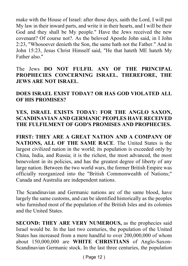make with the House of Israel: after those days, saith the Lord, I will put My law in their inward parts, and write it in their hearts, and I will be their God and they shall be My people." Have the Jews received the new covenant? Of course not?. As the beloved Apostle John said, in I John 2:23, "Whosoever denieth the Son, the same hath not the Father." And in John 15:23, Jesus Christ Himself said, "He that hateth ME hateth My Father also."

The Jews **DO NOT FULFIL ANY OF THE PRINCIPAL PROPHECIES CONCERNING ISRAEL. THEREFORE, THE JEWS ARE NOT ISRAEL**.

**DOES ISRAEL EXIST TODAY? OR HAS GOD VIOLATED ALL OF HIS PROMISES?**

#### **YES, ISRAEL EXISTS TODAY: FOR THE ANGLO SAXON, SCANDINAVIAN AND GERMANIC PEOPLES HAVE RECEIVED THE FULFILMENT OF GOD'S PROMISES AND PROPHECIES.**

**FIRST: THEY ARE A GREAT NATION AND A COMPANY OF NATIONS, ALL OF THE SAME RACE**. The United States is the largest civilized nation in the world; its population is exceeded only by China, India, and Russia; it is the richest, the most advanced, the most benevolent in its policies, and has the greatest degree of liberty of any large nation. Between the two world wars, the former British Empire was officially reorganized into the "British Commonwealth of Nations;" Canada and Australia are independent nations.

The Scandinavian and Germanic nations arc of the same blood, have largely the same customs, and can be identified historically as the peoples who furnished most of the population of the British Isles and its colonies and the United States.

**SECOND: THEY ARE VERY NUMEROUS, as the prophecies said** Israel would be. In the last two centuries, the population of the United States has increased from a mere handful to over 200,000,000 of whom about 150,000,000 are **WHITE CHRISTIANS** of Anglo-Saxon-Scandinavian Germanic stock. In the last three centuries, the population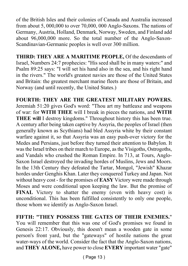of the British Isles and their colonies of Canada and Australia increased from about 5, 000,000 to over 70,000, 000 Anglo-Saxons. The nations of Germany, Austria, Holland, Denmark, Norway, Sweden, and Finland add about 96,000,000 more. So the total number of the Anglo-Saxon-Scandinavian-Germanic peoples is well over 300 million.

**THIRD: THEY ARE A MARITIME PEOPLE,** Of the descendants of Israel, Numbers 24:7 prophecies: "His seed shall be in many waters:" and Psalm 89:25 says: "I will set his hand also in the sea, and his right hand in the rivers." The world's greatest navies are those of the United States and Britain: the greatest merchant marine fleets are those of Britain, and Norway (and until recently, the United States.)

**FOURTH: THEY ARE THE GREATEST MILITARY POWERS.** Jeremiah 51:20 gives God's word: "Thou art my battleaxe and weapons of war: for **WITH THEE** will I break in pieces the nations, and **WITH THEE will** I destroy kingdoms." Throughout history this has been true. A century after being taken captive by Assyria, the peoples of Israel (then generally known as Scythians) had bled Assyria white by their constant warfare against it, so that Assyria was an easy push-over victory for the Medes and Persians, just before they turned their attention to Babylon. It was the Israel tribes on their march to Europe, as the Visigoths, Ostrogoths, and Vandals who crushed the Roman Empire. In 713, at Tours, Anglo-Saxon Israel destroyed the invading hordes of Muslins, Jews and Moors. In the 13th Century they defeated the Tartar, Mongol, "Jewish" Khazar hordes under Genghis Khan. Later they conquered Turkey and Japan. Not without heavy cost - for the promises of **EASY** Victory were made through Moses and were conditional upon keeping the law. But the promise of **FINAL** Victory to shatter the enemy (even with heavy cost) is unconditional. This has been fulfilled consistently to only one people, those whom we identify as Anglo-Saxon Israel.

**FIFTH: "THEY POSSESS THE GATES OF THEIR ENEMIES.**" You will remember that this was one of God's promises we found in Genesis 22:17. Obviously, this doesn't mean a wooden gate in some person's front yard, but the "gateways" of hostile nations the great water-ways of the world. Consider the fact that the Anglo-Saxon nations, and **THEY ALONE,** have power to close **EVERY** important water "gate"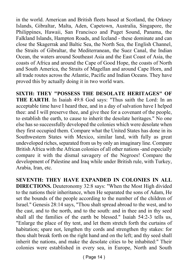in the world. American and British fleets based at Scotland, the Orkney Islands, Gibraltar, Malta, Aden, Capetown, Australia, Singapore, the Philippines, Hawaii, San Francisco and Puget Sound, Panama, the Falkland Islands, Hampton Roads, and Iceland - these dominate and can close the Skagerrak and Baltic Sea, the North Sea, the English Channel, the Straits of Gibraltar, the Mediterranean, the Suez Canal, the Indian Ocean, the waters around Southeast Asia and the East Coast of Asia, the coasts of Africa and around the Cape of Good Hope, the coasts of North and South America, the Straits of Magellan and around Cape Horn, and all trade routes across the Atlantic, Pacific and Indian Oceans. They have proved this by actually doing it in two world wars.

**SIXTH: THEY "POSSESS THE DESOLATE HERITAGES" OF THE EARTH**. In Isaiah 49:8 God says: "Thus saith the Lord: In an acceptable time have I heard thee, and in a day of salvation have I helped thee: and I will preserve thee, and give thee for a covenant of the people, to establish the earth, to cause to inherit the desolate heritages." No one else has so successfully developed the colonies which were desolate when they first occupied them. Compare what the United States has done in its Southwestern States with Mexico, similar land, with fully as great undeveloped riches, separated from us by only an imaginary line. Compare British Africa with the African colonies of all other nations -and especially compare it with the dismal savagery of the Negroes! Compare the development of Palestine and Iraq while under British rule, with Turkey, Arabia, Iran, etc.

**SEVENTH: THEY HAVE EXPANDED IN COLONIES IN ALL DIRECTIONS.** Deuteronomy 32:8 says: "When the Most High divided to the nations their inheritance, when He separated the sons of Adam, He set the bounds of the people according to the number of the children of Israel." Genesis 28:14 says, "Thou shalt spread abroad to the west, and to the cast, and to the north, and to the south: and in thee and in thy seed shall all the families of the earth be blessed." Isaiah 54:2-3 tells us, "Enlarge the place of thy tent, and let them stretch forth the curtains of habitation; spare not, lengthen thy cords and strengthen thy stakes: for thou shalt break forth on the right hand and on the left; and thy seed shall inherit the nations, and make the desolate cities to be inhabited:" Their colonies were established in every sea, in Europe, North and South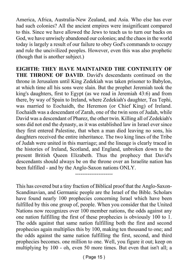America, Africa, Australia-New Zealand, and Asia. Who else has ever had such colonies? All the ancient empires were insignificant compared to this. Since we have allowed the Jews to teach us to turn our backs on God, we have unwisely abandoned our colonies; and the chaos in the world today is largely a result of our failure to obey God's commands to occupy and rule the uncivilized peoples. However, even this was also prophetic (though that is another subject.)

**EIGHTH: THEY HAVE MAINTAINED THE CONTINUITY OF THE THRONE OF DAVID**. David's descendants continued on the throne in Jerusalem until King Zedekiah was taken prisoner to Babylon, at which time all his sons were slain. But the prophet Jeremiah took the king's daughters, first to Egypt (as we read in Jeremiah 43:6) and from there, by way of Spain to Ireland, where Zedekiah's daughter, Tea Tephi, was married to Eochaidh, the Heremon (or Chief King) of Ireland. Eochaidh was a descendant of Zarah, one of the twin sons of Judah, while David was a descendant of Pharez, the other twin. Killing all of Zedekiah's sons did not end the dynasty, as it was established law in Israel ever since they first entered Palestine, that when a man died leaving no sons, his daughters received the entire inheritance. The two king lines of the Tribe of Judah were united in this marriage; and the lineage is clearly traced in the histories of Ireland, Scotland, and England, unbroken down to the present British Queen Elizabeth. Thus the prophecy that David's descendants should always be on the throne over an Israelite nation has been fulfilled - and by the Anglo-Saxon nations ONLY.

This has covered but a tiny fraction of Biblical proof that the Anglo-Saxon-Scandinavian, and Germanic people are the Israel of the Bible. Scholars have found nearly 100 prophecies concerning Israel which have been fulfilled by this one group of, people. When you consider that the United Nations now recognizes over 100 member nations, the odds against any one nation fulfilling the first of these prophecies is obviously 100 to 1. The odds against that same nation fulfilling both the first and second prophecies again multiplies this by 100, making ten thousand to one; and the odds against the same nation fulfilling the first, second, and third prophecies becomes. one million to one. Well, you figure it out; keep on multiplying by 100 - oh, even 50 more times. But even that isn't all; a

---------------------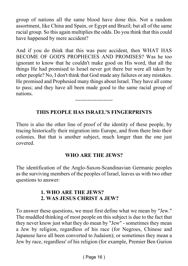group of nations all the same blood have done this. Not a random assortment, like China and Spain, or Egypt and Brazil; but all of the same racial group. So this again multiplies the odds. Do you think that this could have happened by mere accident?

And if you do think that this was pure accident, then WHAT HAS BECOME OF GOD'S PROPHECIES AND PROMISES? Was he too ignorant to know that he couldn't make good on His word, that all the things He had promised to Israel never got there but were all taken by other people? No, I don't think that God made any failures or any mistakes. He promised and Prophesied many things about Israel. They have all come to pass; and they have all been made good to the same racial group of nations.

#### **THIS PEOPLE HAS ISRAEL'S FINGERPRINTS**

---------------------

There is also the other line of proof of the identity of these people, by tracing historically their migration into Europe, and from there Into their colonies. But that is another subject, much longer than the one just covered.

#### **WHO ARE THE JEWS?**

The identification of the Anglo-Saxon-Scandinavian Germanic peoples as the surviving members of the peoples of Israel, leaves us with two other questions to answer:

#### **1. WHO ARE THE JEWS? 2. WAS JESUS CHRIST A JEW?**

To answer these questions, we must first define what we mean by "Jew." The muddled thinking of most people on this subject is due to the fact that they never know just what they do mean by "Jew" - sometimes they mean a Jew by religion, regardless of his race (for Negroes, Chinese and Japanese have all been converted to Judaism); or sometimes they mean a Jew by race, regardless' of his religion (for example, Premier Ben Gurion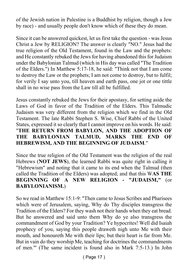of the Jewish nation in Palestine is a Buddhist by religion, though a Jew by race) - and usually people don't know which of these they do mean.

Since it can be answered quickest, let us first take the question - was Jesus Christ a Jew by RELIGION? The answer is clearly "NO." Jesus had the true religion of the Old Testament, found in the Law and the prophets: and He constantly rebuked the Jews for having abandoned this for Judaism under the Babylonian Talmud (which in His day was called "The Tradition of the Elders.") In Matthew 5:17-18, he said: "Think not that I am come to destroy the Law or the prophets; I am not come to destroy, but to fulfil; for verily I say unto you, till heaven and earth pass, one jot or one tittle shall in no wise pass from the Law till all be fulfilled.

Jesus constantly rebuked the Jews for their apostasy, for setting aside the Laws of God in favor of the Tradition of the Elders. This Talmudic Judaism was very different from the religion which we find in the Old Testament. The late Rabbi Stephen S. Wise, Chief Rabbi of the United States, expressed it so clearly that I cannot improve on his words. He said: "**THE RETURN FROM BABYLON, AND THE ADOPTION OF THE BABYLONIAN TALMUD, MARKS THE END OF HEBREWISM, AND THE BEGINNING OF JUDAISM**."

Since the true religion of the Old Testament was the religion of the real Hebrews (**NOT JEWS**), the learned Rabbi was quite right in calling it "Hebrewism" and noting that it came to its end when the Talmud (then called the Tradition of the Elders) was adopted; and that this W**AS THE BEGINNING OF A NEW RELIGION - "JUDAISM,"** (or **BABYLONIANISM.**)

So we read in Matthew 15:1-9: "Then came to Jesus Scribes and Pharisees which were of Jerusalem, saying, Why do Thy disciples transgress the Tradition of the Elders? For they wash not their hands when they eat bread. But he answered and said unto them Why do ye also transgress the commandment of God by your Tradition? Ye hypocrites! Well did Isaiah prophecy of you, saying this people draweth nigh unto Me with their mouth, and honoureth Me with their lips; but their heart is far from Me. But in vain do they worship Me, teaching for doctrines the commandments of men."' (The same incident is found also in Mark 7:5-13.) In John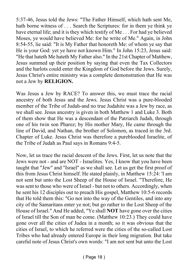5:37-46, Jesus told the Jews: "The Father Himself, which hath sent Me, hath borne witness of . . . Search the Scriptures: for in them ye think ye have eternal life; and it is they which testify of Me . . . For had ye believed Moses, ye would have believed Me: for he write of Me." Again, in John 8:54-55, lie said: "It is My Father that honoreth Me: of whom ye say that He is your God: yet ye have not known Him." In John 15:23, Jesus said: "He that hateth Me hateth My Father also." In the 21st Chapter of Matthew, Jesus summed up their position by saying that even the Tax Collectors and the harlots could enter the Kingdom of God before the Jews. Surely, Jesus Christ's entire ministry was a complete demonstration that He was not a Jew by **RELIGION.**

Was Jesus a Jew by RACE? To answer this, we must trace the racial ancestry of both Jesus and the Jews. Jesus Christ was a pure-blooded member of the Tribe of Judah-and no true Judahite was a Jew by race, as we shall see. Jesus ancestry is given in both Matthew 1 and Luke 3. Both of them show that He was a descendant of the Patriarch Judah, through one of his twin son Pharez; by His mother Mary, He came through the line of David, and Nathan, the brother of Solomon, as traced in the 3rd. Chapter of Luke. Jesus Christ was therefore a pureblooded Israelite, of the Tribe of Judah as Paul says in Romans 9:4-5.

Now, let us trace the racial descent of the Jews. First, let us note that the Jews were not - and are NOT - Israelites. Yes, I know that you have been taught that "Jew" and "Israel" as we shall see. Let us get the first proof of this from Jesus Christ himself. He stated plainly, in Matthew 15:24: 'I am not sent but unto the Lost Sheep of the House of Israel. "Therefore, He was sent to those who were of Israel - but not to others. Accordingly, when he sent his 12 disciples out to preach His gospel, Matthew 10:5-6 records that He told them this: "Go not into the way of the Gentiles, and into any city of the Samaritans enter ye not; but go rather to the Lost Sheep of the House of Israel." And He added, "Ye shall **NOT** have gone over the cities of Israel till the Son of man be come. (Matthew 10:23.) They could have gone over all the cities of Judea in a month; so it was obvious that the cities of Israel, to which he referred were the cities of the so-called Lost Tribes who had already entered Europe in their long migration. But take careful note of Jesus Christ's own words: "I am not sent but unto the Lost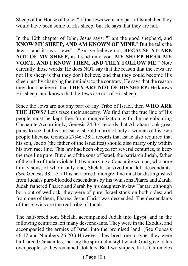Sheep of the House of Israel." If the Jews were any part of Israel then they would have been some of His sheep; but He says that they are not.

In the 10th chapter of John, Jesus says: "I am the good shepherd, and **KNOW MY SHEEP, AND AM KNOWN OF MINE**." But he tells the Jews - and it says "Jews" - "But ye believe not, **BECAUSE YE ARE NOT OF MY SHEEP,** as I said unto you. **MY SHEEP HEAR MY VOICE, AND I KNOW THEM, AND THEY FOLLOW ME.**" Note carefully those words: He does NOT say that the reason that the Jews are not His sheep is that they don't believe, and that they could become His sheep just by changing their minds: to the contrary, He says that the reason they don't believe is that **THEY ARE NOT OF HIS SHEEP:** He knows His sheep, and knows that the Jews are not of His sheep.

Since the Jews are not any part of any Tribe of Israel, then **WHO ARE THE JEWS?** Let's trace their ancestry. We find that the true line of His people must be kept free from mongrelization with the neighbouring Canaanite Accordingly, Genesis 24:3-4 records that Abraham took great pains to see that his son Isaac, should marry of only a woman of his own people likewise Genesis 27:46 -28:1 records that Isaac also required that his son, Jacob (the father of the Israelites) should also marry only within his own race line. This law had been obeyed for several centuries, to keep the race line pure. But one of the sons of Israel, the patriarch Judah, father of the tribe of Judah violated it by marrying a Canaanite woman, who bore him 3 sons, of whom only one, Shelah, survived and left descendants. (See Genesis 38:1-5.) This half-breed, mongrel line must be distinguished from Judah's pure-blooded descendants by his twin sons Pharez and Zarah. Judah fathered Pharez and Zarah by his daughter-in-law Tamar; although born out of wedlock, they were of pure, Israel stock on both sides; and from one of them, Pharez, Jesus Christ was descended. The descendants of these twins are the real tribe of Judah.

The half-breed son, Shelah, accompanied Judah into Egypt, and in the following centuries left many descend-ants. They were in the Exodus, and accompanied the armies of Israel into the promised land. (See Genesis 46:12 and Numbers 26:20.) However, they bred true to type: they were half-breed Canaanites, lacking the spiritual insight which God gave to his own people, so they remained idolaters, Baal-worshipers, In 1st Chronicles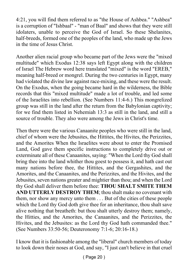4:21, you will find them referred to as "the House of Ashbea." "Ashbea" is a corruption of "Ishbaal" - "man of Baal" and shows that they were still idolaters, unable to perceive the God of Israel. So these Shelanites, half-breeds, formed one of the peoples of the land, who made up the Jews in the time of Jesus Christ.

Another alien racial group who became part of the Jews were the "mixed multitude" which Exodus 12:38 says left Egypt along with the children of Israel The Hebrew word here translated "mixed" is the word "EREB," meaning half-breed or mongrel. During the two centuries in Egypt, many had violated the divine law against race-mixing, and these were the result. On the Exodus, when the going became hard in the wilderness, the Bible records that this "mixed multitude" made a lot of trouble, and led some of the Israelites into rebellion. (See Numbers 11:4-6.) This mongrelized group was still in the land after the return from the Babylonian captivity; for we find them listed in Nehemiah 13:3 as still in the land, and still a source of trouble. They also were among the Jews in Christ's time.

Then there were the various Canaanite peoples who were still in the land, chief of whom were the Jebusites, the Hittites, the Hivites, the Perizzites, and the Amorites When the Israelites were about to enter the Promised Land, God gave them specific instructions to completely drive out or exterminate all of these Canaanites, saying: "When the Lord thy God shall bring thee into the land whither thou goest to possess it, and hath cast out many nations before thee, the Hittites, and the Gergashites, and the Amorites, and the Canaanites, and the Perizzites, and the Hivites, and the Jebusites, seven nations greater and mightier than thou; and when the Lord thy God shall deliver them before thee: **THOU SHALT SMITE THEM AND UTTERLY DESTROY THEM**; thou shalt make no covenant with them, nor show any mercy unto them . . . But of the cities of these people which the Lord thy God doth give thee for an inheritance, thou shalt save alive nothing that breatheth: but thou shalt utterly destroy them; namely, the Hitties, and the Amorites, the Canaanites, and the Perizzites, the Hivites, and the Jebusites: as the Lord thy God hath commanded thee." (See Numbers 33:50-56; Deuteronomy 7:1-6; 20:16-18.)

I know that it is fashionable among the "liberal" church members of today to look down their noses at God, and say, "I just can't believe in that cruel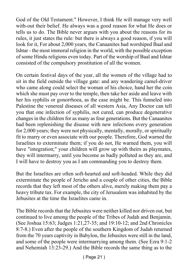God of the Old Testament." However, I think He will manage very well with-out their belief. He always was a good reason for what He does or tells us to do. The Bible never argues with you about the reasons for its rules, it just states the rule: but there is always a good reason, if you will look for it, For about 2,000 years, the Canaanites had worshiped Baal and Ishtar - the most immoral religion in the world, with the possible exception of some Hindu religions even today. Part of the worship of Baal and Ishtar consisted of the compulsory prostitution of all the women.

On certain festival days of the year, all the women of the village had to sit in the field outside the village gate: and any wandering camel-driver who came along could select the woman of his choice, hand her the coin which she must pay over to the temple, then take her aside and leave with her his syphilis or gonorrhoea, as the case might be. This funneled into Palestine the venereal diseases of all western Asia, Any Doctor can tell you that one infection of syphilis, not cured, can produce degenerative changes in the children for as many as four generations. But the Canaanites had been replenishing the disease with new infections every generation for 2,000 years; they were not physically, mentally, morally, or spiritually fit to marry or even associate with our people. Therefore, God warned the Israelites to exterminate them; if you do not, He warned them, you will have "integration;" your children will grow up with theirs as playmates, they will intermarry, until you become as badly polluted as they are, and I will have to destroy you as I am commanding you to destroy them.

But the Israelites are often soft-hearted and soft-headed. While they did exterminate the people of Jericho and a couple of other cities, the Bible records that they left most of the others alive, merely making them pay a heavy tribute tax. For example, the city of Jerusalem was inhabited by the Jebusites at the time the Israelites came in.

The Bible records that the Jebusites were neither killed nor driven out, but continued to live among the people of the Tribes of Judah and Benjamin. (See Joshua 15:63; Judges 1:21,27-35; and 19:10-12; and 2nd Chronicles 8:7-8.) Even after the people of the southern Kingdom of Judah returned from the 70 years captivity in Babylon, the Jebusites were still in the land, and some of the people were intermarrying among them. (See Ezra 9:1-2 and Nehemiah 13:23-29.) And the Bible records the same thing as to the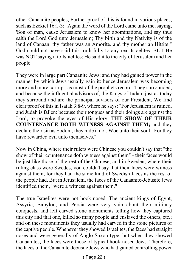other Canaanite peoples, Further proof of this is found in various places, such as Ezekiel 16:1-3: "Again the word of the Lord came unto me, saying, 'Son of man, cause Jerusalem to know her abominations, and say thus saith the Lord God unto Jerusalem; Thy birth and thy Nativity is of the land of Canaan; thy father was an Amorite. and thy mother an Hittite." God could not have said this truth-fully to any real Israelites: BUT He was NOT saying it to Israelites: He said it to the city of Jerusalem and her people.

They were in large part Canaanite Jews: and they had gained power in the manner by which Jews usually gain it: hence Jerusalem was becoming more and more corrupt, as most of the prophets record. They surrounded, and because the influential advisors of, the Kings of Judah: just as today they surround and are the principal advisors of our President, We find clear proof of this in Isaiah 3:8-9, where he says: "For Jerusalem is ruined, and Judah is fallen: because their tongues and their doings are against the Lord, to provoke the eyes of His glory. **THE SHOW OF THEIR COUNTENANCE DOTH WITNESS AGAINST THEM;** and they declare their sin as Sodom, they hide it not. Woe unto their soul I For they have rewarded evil unto themselves."

Now in China, where their rulers were Chinese you couldn't say that "the show of their countenance doth witness against them" - their faces would be just like those of the rest of the Chinese; and in Sweden, where their ruling class were Swedes, you couldn't say that their faces were witness against them, for they had the same kind of Swedish faces as the rest of the people had. But in Jerusalem, the faces of the Canaanite-Jebusite Jews identified them, "were a witness against them."

The true Israelites were not hook-nosed. The ancient kings of Egypt, Assyria, Babylon, and Persia were very vain about their military conquests, and left carved stone monuments telling how they captured this city and that one, killed so many people and enslaved the others, etc.; and on these monuments they usually had carved in the stone pictures of the captive people. Whenever they showed Israelites, the faces had straight noses and were generally of Anglo-Saxon type; but when they showed Canaanites, the faces were those of typical hook-nosed Jews. Therefore, the faces of the Canaanite-Jebusite Jews who had gained controlling power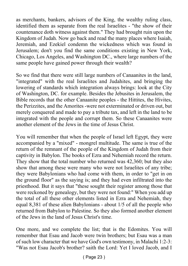as merchants, bankers, advisors of the King, the wealthy ruling class, identified them as separate from the real Israelites - "the show of their countenance doth witness against them." They had brought ruin upon the Kingdom of Judah. Now go back and read the many places where Isaiah, Jeremiah, and Ezekiel condemn the wickedness which was found in Jerusalem; don't you find the same conditions existing in New York, Chicago, Los Angeles, and Washington DC., where large numbers of the same people have gained power through their wealth?

So we find that there were still large numbers of Canaanites in the land, "integrated" with the real Israelites and Judahites, and bringing the lowering of standards which integration always brings: look at the City of Washington, DC. for example. Besides the Jebusites in Jerusalem, the Bible records that the other Canaanite peoples - the Hittites, the Hivites, the Perizzites, and the Amorites -were not exterminated or driven out, but merely conquered and made to pay a tribute tax, and left in the land to be integrated with the people and corrupt them. So these Canaanites were another element of the Jews in the time of Jesus Christ.

You will remember that when the people of Israel left Egypt, they were accompanied by a "mixed" - mongrel multitude. The same is true of the return of the remnant of the people of the Kingdom of Judah from their captivity in Babylon. The books of Ezra and Nehemiah record the return. They show that the total number who returned was 42,360; but they also show that among these were many who were not Israelites of any tribe; they were Babylonians who had come with them, in order to "get in on the ground floor" as the saying is; and they had even infiltrated into the priesthood. But it says that "these sought their register among those that were reckoned by genealogy, but they were not found:" When you add up the total of all these other elements listed in Ezra and Nehemiah, they equal 8,381 of these alien Babylonians - about 1/5 of all the people who returned from Babylon to Palestine. So they also formed another element of the Jews in the land of Jesus Christ's time.

One more, and we complete the list; that is the Edomites. You will remember that Esau and Jacob were twin brothers; but Esau was a man of such low character that we have God's own testimony, in Malachi 1:2-3: "Was not Esau Jacob's brother? saith the Lord: Yet I loved Jacob, and I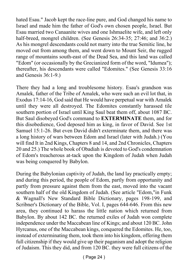hated Esau." Jacob kept the race-line pure, and God changed his name to Israel and made him the father of God's own chosen people, Israel. But Esau married two Canaanite wives and one Ishmaelite wife, and left only half-breed, mongrel children. (See Genesis 26:34-35; 27:46; and 36:2.) As his mongrel descendants could not marry into the true Semitic line, he moved out from among them, and went down to Mount Seir, the rugged range of mountains south-east of the Dead Sea, and this land was called "Edom" (or occasionally by the Grecianized form of the word, "Idumea"); thereafter, his descendants were called "Edomites." (See Genesis 33:16 and Genesis 36:1-9.)

There they had a long and troublesome history. Esau's grandson was Amalek, father of the Tribe of Amalek, who were such an evil lot that, in Exodus 17:14-16, God said that He would have perpetual war with Amalek until they were all destroyed. The Edomites constantly harassed tile southern portion of Israel until King Saul beat them off, about 1087 BC. But Saul disobeyed God's command to **EXTERMINATE** them, and for this disobedience, God deposed him as king, in favor of David. See 1st Samuel 15:1-26. But even David didn't exterminate them, and there was a long history of wars between Edom and Israel (later with Judah.) (You will find It in 2nd Kings, Chapters 8 and 14, and 2nd Chronicles, Chapters 20 and 25.) The whole book of Obadiah is devoted to God's condemnation of Edom's treacherous at-tack upon the Kingdom of Judah when Judah was being conquered by Babylon.

During the Babylonian captivity of Judah, the land lay practically empty; and during this period, the people of Edom, partly from opportunity and partly from pressure against them from the east, moved into the vacant southern half of the old Kingdom of Judah. (See article "Edom,"in Funk & Wagnall's New Standard Bible Dictionary, pages 198-199, and Scribner's Dictionary of the Bible, Vol. I, pages 644-646. From this new area, they continued to harass the little nation which returned from Babylon. By about 142 BC. the returned exiles of Judah won complete independence under the Maccabean line of Kings; and about 120 BC. John Hyrcanus, one of the Maccabean kings, conquered the Edomites. He, too, instead of exterminating them, took them into his kingdom, offering them full citizenship if they would give up their paganism and adopt the religion of Judaism. This they did, and from 120 BC. they were full citizens of the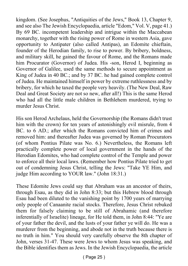kingdom. (See Josephus, "Antiquities of the Jews," Book 13, Chapter 9, and see also The Jewish Encyclopaedia, article "Edom," Vol. V, page 41.) By 69 BC. incompetent leadership and intrigue within the Maccabean monarchy, together with the rising power of Rome in western Asia, gave opportunity to Antipater (also called Antipas), an Edomite chieftain, founder of the Herodian family, to rise to power. By bribery, boldness, and military skill, he gained the favour of Rome, and the Romans made him Procurator (Governor) of Judea. His -son, Herod I, beginning as Governor of Galilee, used the same methods to secure appointment as King of Judea in 40 BC.; and by 37 BC. he had gained complete control of Judea. He maintained himself in power by extreme ruthlessness and by bribery, for which he taxed the people very heavily. (The New Deal, Raw Deal and Great Society are not so new, after all!) This is the same Herod who had all the little male children in Bethlehem murdered, trying to murder Jesus Christ.

His son Herod Archelaus, held the Governorship (the Romans didn't trust him with the crown) for ten years of astonishingly evil misrule, from 4 BC. to 6 AD.; after which the Romans convicted him of crimes and removed him: and thereafter Judea was governed by Roman Procurators (of whom Pontius Pilate was No. 6.) Nevertheless, the Romans left practically complete power of local government in the hands of the Herodian Edomites, who had complete control of the Temple and power to enforce all their local laws. (Remember how Pontius Pilate tried to get out of condemning Jesus Christ, telling the Jews: "Take YE Him, and judge Him according to YOUR law." (John 18:31.)

These Edomite Jews could say that Abraham was an ancestor of theirs, through Esau, as they did in John 8:33; but this Hebrew blood through Esau had been diluted to the vanishing point by 1700 years of marrying only people of Canaanite racial stocks. Therefore, Jesus Christ rebuked them for falsely claiming to be still of Abrahamic (and therefore inferentially of Israelite) lineage, for He told them, in John 8:44: "Ye are of your father the devil, and the lusts of your father ye will do. He was a murderer from the beginning, and abode not in the truth because there is no truth in him." You should very carefully observe the 8th chapter of John, verses 31-47. These were Jews to whom Jesus was speaking, and the Bible identifies them as Jews. In the Jewish Encyclopaedia, the article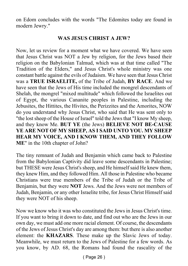on Edom concludes with the words "The Edomites today are found in modern Jewry."

#### **WAS JESUS CHRIST A JEW?**

Now, let us review for a moment what we have covered. We have seen that Jesus Christ was NOT a Jew by religion, for the Jews based their religion on the Babylonian Talmud, which was at that time called "The Tradition of the Elders," and Jesus Christ's whole ministry was one constant battle against the evils of Judaism. We have seen that Jesus Christ was a **TRUE ISRAELITE,** of the Tribe of Judah, **BY RACE**. And we have seen that the Jews of His time included the mongrel descendants of Shelah, the mongrel "mixed multitude" which followed the Israelites out of Egypt, the various Cananite peoples in Palestine, including the Jebusites, the Hittites, the Hivites, the Perizzites and the Amorites, NOW do you understand why Jesus Christ, who said that He was sent only to "the lost sheep of the House of Israel" told the Jews that "I know My sheep, and they know Me. **BUT YE** (the Jews) **BELIEVE NOT BE-CAUSE YE ARE NOT OF MY SHEEP, AS I SAID UNTO YOU. MY SHEEP HEAR MY VOICE, AND I KNOW THEM, AND THEY FOLLOW ME**" in the 10th chapter of John?

The tiny remnant of Judah and Benjamin which came back to Palestine from the Babylonian Captivity did leave some descendants in Palestine; but THESE were Jesus Christ's sheep, and He himself said He knew them, they knew Him, and they followed Him. All those in Palestine who became Christians were true members of the Tribe of Judah or the Tribe of Benjamin, but they were **NOT** Jews. And the Jews were not members of Judah, Benjamin, or any other Israelite tribe, for Jesus Christ Himself said they were NOT of his sheep.

Now we know who it was who constituted the Jews in Jesus Christ's time. If you want to bring it down to date, and find out who are the Jews in our own day, we must add one more racial element. Of course, the descendants of the Jews of Jesus Christ's day are among them: but there is also another element: the **KHAZARS**. These make up the Slavic Jews of today. Meanwhile, we must return to the Jews of Palestine for a few words. As you know, by AD. 68, the Romans had found the rascality of the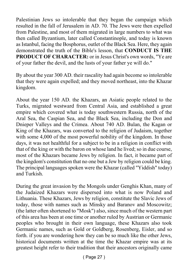Palestinian Jews so intolerable that they began the campaign which resulted in the fall of Jerusalem in AD. 70. The Jews were then expelled from Palestine, and most of them migrated in large numbers to what was then called Byzantium, later called Constantinople, and today is known as Istanbul, facing the Bosphorus, outlet of the Black Sea. Here, they again demonstrated the truth of the Bible's lesson, that **CONDUCT IS THE PRODUCT OF CHARACTER:** or in Jesus Christ's own words, "Ye are of your father the devil, and the lusts of your father ye will do."

By about the year 300 AD. their rascality had again become so intolerable that they were again expelled; and they moved northeast, into the Khazar kingdom.

About the year 150 AD. the Khazars, an Asiatic people related to the Turks, migrated westward from Central Asia, and established a great empire which covered what is today southwestern Russia, north of the Aral Sea, the Caspian Sea, and the Black Sea, including the Don and Dnieper Valleys and the Crimea. About 740 AD. Bulan, the Kagan or King of the Khazars, was converted to the religion of Judaism, together with some 4,000 of the most powerful nobility of the kingdom. In those days, it was not healthful for a subject to be in a religion in conflict with that of the king or with the baron on whose land he lived; so in due course, most of the Khazars became Jews by religion. In fact, it became part of the kingdom's constitution that no one but a Jew by religion could be king. The principal languages spoken were the Khazar (called "Yiddish" today) and Turkish.

During the great invasion by the Mongols under Genghis Khan, many of the Judaized Khazars were dispersed into what is now Poland and Lithuania. These Khazars, Jews by religion, constitute the Slavic Jews of today, those with names such as Minsky and Baranov and Moscowitz; (the latter often shortened to "Mosk") also, since much of the western part of this area has been at one time or another ruled by Austrian or Germanic peoples who brought in their own language, these Khazars also took Germanic names, such as Gold or Goldberg, Rosenberg, Eisler, and so forth. if you are wondering how they can be so much like the other Jews, historical documents written at the time the Khazar empire was at its greatest height refer to their tradition that their ancestors originally came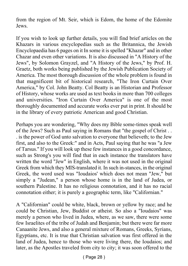from the region of Mt. Seir, which is Edom, the home of the Edomite Jews.

If you wish to look up further details, you will find brief articles on the Khazars in various encyclopedias such as the Britannica, the Jewish Encyclopaedia has 6 pages on it In some it is spelled "Khazar" and in other Chazar and even other variations. It is also discussed in "A History of the Jews", by Solomon Grayzel, and "A History of the Jews," by Prof. H. Graetz, both works being published by the Jewish Publication Society of America. The most thorough discussion of the whole problem is found in that magnificent bit of historical research, "The Iron Curtain Over America," by Col. John Beatty. Col Beatty is an Historian and Professor of History, whose works are used as text books in more than 700 colleges and universities. "Iron Curtain Over America" is one of the most thoroughly documented and accurate works ever put in print. It should be in the library of every patriotic American and good Christian.

Perhaps you are wondering, "Why does my Bible some-times speak well of the Jews? Such as Paul saying in Romans that "the gospel of Christ . . . is the power of God unto salvation to everyone that believeth; to the Jew first, and also to the Greek:" and in Acts, Paul saying that he was "a Jew of Tarsus.'' If you will look up these few instances in a good concordance, such as Strong's you will find that in each instance the translators have written the word "Jew" in English, where it was not used in the original Greek from which they MIS-translated it. In such in-stances, in the original Greek, the word used was "Ioudaios' which does not mean "Jew," but simply a "Judean," a person whose home is in the land of Judea, or southern Palestine. It has no religious connotation, and it has no racial connotation either; it is purely a geographic term, like "Californian."

A "Californian" could be white, black, brown or yellow by race; and he could be Christian, Jew, Buddist or atheist. So also a "Ioudaios" was merely a person who lived in Judea, where, as we saw, there were some few Israelites of the tribe of Judah and Benjamin; but there were far more Canaanite Jews, and also a general mixture of Romans, Greeks, Syrians, Egyptians, etc. It is true that Christian salvation was first offered in the land of Judea, hence to those who were living there, the Ioudaios; and later, as the Apostles traveled from city to city; it was soon offered to the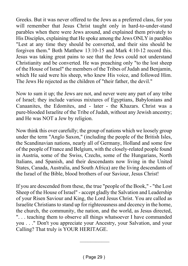Greeks. But it was never offered to the Jews as a preferred class, for you will remember that Jesus Christ taught only in hard-to-under-stand parables when there were Jews around, and explained them privately to His Disciples, explaining that He spoke among the Jews ONLY in parables "Lest at any time they should be converted, and their sins should be forgiven them." Both Matthew 13:10-15 and Mark 4:10-12 record this. Jesus was taking great pains to see that the Jews could not understand Christianity and be converted. He was preaching only "to the lost sheep of the House of Israel" the members of the Tribes of Judah and Benjamin, which He said were his sheep, who knew His voice, and followed Him. The Jews He rejected as the children of "their father, the devil."

Now to sum it up; the Jews are not, and never were any part of any tribe of Israel; they include various mixtures of Egyptians, Babylonians and Canaanites, the Edomites, and - later - the Khazars. Christ was a pure-blooded Israelite of the Tribe of Judah, without any Jewish ancestry; and He was NOT a Jew by religion.

Now think this over carefully; the group of nations which we loosely group under the term "Anglo Saxon," (including the people of the British Isles, the Scandinavian nations, nearly all of Germany, Holland and some few of the people of France and Belgium, with the closely-related people found in Austria, some of the Swiss, Czechs, some of the Hungarians, North Italians, and Spanish, and their descendants now living in the United States, Canada, Australia, and South Africa) are the living descendants of the Israel of the Bible, blood brothers of our Saviour, Jesus Christ!

If you are descended from these, the true "people of the Book," - "the Lost Sheep of the House of Israel" - accept gladly the Salvation and Leadership of your Risen Saviour and King, the Lord Jesus Christ. You are called as Israelite Christians to stand up for righteousness and decency in the home, the church, the community, the nation, and the world, as Jesus directed, ". . . teaching them to observe all things whatsoever I have commanded you . . ." Don't you appreciate your Ancestry, your Salvation, and your Calling? That truly is YOUR HERITAGE.

—–––––––––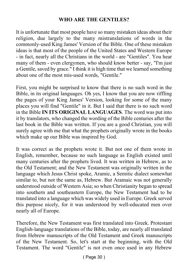#### **WHO ARE THE GENTILES?**

It is unfortunate that most people have so many mistaken ideas about their religion, due largely to the many mistranslations of words in the commonly-used King James' Version of the Bible. One of these mistaken ideas is that most of the people of the United States and Western Europe - in fact, nearly all the Christians in the world - are "Gentiles". You hear many of them - even clergymen, who should know better - say, "I'm just a Gentile, saved by grace." I think it is high time that we learned something about one of the most mis-used words, "Gentile."

First, you might be surprised to know that there is no such word in the Bible, in its original languages. Oh yes, I know that you are now riffling the pages of your King James' Version, looking for some of the many places you will find "Gentile" in it. But I said that there is no such word in the Bible **IN ITS ORIGINAL LANGUAGES**. The word was put into it by translators, who changed the wording of the Bible centuries after the last book in the Bible was written. If you are a good Christian, you will surely agree with me that what the prophets originally wrote in the books which make up our Bible was inspired by God.

It was correct as the prophets wrote it. But not one of them wrote in English, remember, because no such language as English existed until many centuries after the prophets lived. It was written in Hebrew, as to the Old Testament; and the New Testament was originally written in the language which Jesus Christ spoke, Aramic, a Semitic dialect somewhat similar to, but not the same as, Hebrew. But Aramaic was not generally understood outside of Western Asia; so when Christianity began to spread into southern and southeastern Europe, the New Testament had to be translated into a language which was widely used in Europe. Greek served this purpose nicely, for it was understood by well-educated men over nearly all of Europe.

Therefore, the New Testament was first translated into Greek. Protestant English-language translations of the Bible, today, are nearly all translated from Hebrew manuscripts of the Old Testament and Greek manuscripts of the New Testament. So, let's start at the beginning, with the Old Testament. The word "Gentile" is not even once used in any Hebrew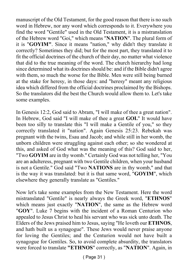manuscript of the Old Testament, for the good reason that there is no such word in Hebrew, nor any word which corresponds to it. Everywhere you find the word "Gentile" used in the Old Testament, it is a mistranslation of the Hebrew word "Goi," which means "**NATION**". The plural form of it is "**GOYIM"**. Since it means "nation," why didn't they translate it correctly? Sometimes they did; but for the most part, they translated it to fit the official doctrines of the church of their day, no matter what violence that did to the true meaning of the word. The church hierarchy had long since determined what its doctrines should be: and if the Bible didn't agree with them, so much the worse for the Bible. Men were still being burned at the stake for heresy, in those days: and "heresy" meant any religious idea which differed from the official doctrines proclaimed by the Bishops. So the translators did the best the Church would allow them to. Let's take some examples.

In Genesis 12:2, God said to Abram, "I will make of thee a great nation". In Hebrew, God said "I will make of thee a great **GOI.**" It would have been too silly to translate this "I will make a Gentile of you," so they correctly translated it "nation". Again Genesis 25:23. Rebekah was pregnant with the twins, Esau and Jacob; and while still in her womb, the unborn children were struggling against each other; so she wondered at this, and asked of God what was the meaning of this? God said to her, "Two **GOYIM** are in thy womb." Certainly God was not telling her, "You are an adulteress, pregnant with two Gentile children, when your husband is not a Gentile." God said "Two **NATIONS** are in thy womb," and that is the way it was translated: but it is that same word, "**GOYIM**", which elsewhere they generally translate as "Gentiles."

Now let's take some examples from the New Testament. Here the word mistranslated "Gentile" is nearly always the Greek word, "**ETHNOS**" which means just exactly "**NATION**", the same as the Hebrew word "**GOY**". Luke 7 begins with the incident of a Roman Centurion who appealed to Jesus Christ to heal his servant who was sick unto death. The Elders of the Jews praised him to Jesus, saying "He loveth our **ETHNOS**, and hath built us a synagogue". These Jews would never praise anyone for loving the Gentiles; and the Centurion would not have built a synagogue for Gentiles. So, to avoid complete absurdity, the translators were forced to translate **"ETHNOS**" correctly, as "**NATION**". Again, in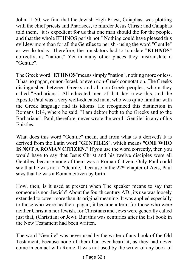John 11:50, we find that the Jewish High Priest, Caiaphas, was plotting with the chief priests and Pharisees, to murder Jesus Christ; and Caiaphas told them, "it is expedient for us that one man should die for the people, and that the whole ETHNOS perish not." Nothing could have pleased this evil Jew more than for all the Gentiles to perish - using the word "Gentile" as we do today. Therefore, the translators had to translate "**ETHNOS**" correctly, as "nation." Yet in many other places they mistranslate it "Gentile".

The Greek word "**ETHNOS**"means simply "nation", nothing more or less. It has no pagan, or non-Israel, or even non-Greek connotation. The Greeks distinguished between Greeks and all non-Greek peoples, whom they called "Barbarians". All educated men of that day knew this, and the Apostle Paul was a very well-educated man, who was quite familiar with the Greek language and its idioms. He recognized this distinction in Romans 1:14, where he said, "I am debtor both to the Greeks and to the Barbarians". Paul, therefore, never wrote the word "Gentile" in any of his Epistles.

What does this word "Gentile" mean, and from what is it derived? It is derived from the Latin word "**GENTILES**", which means "**ONE WHO IS NOT A ROMAN CITIZEN**." If you use the word correctly, then you would have to say that Jesus Christ and his twelve disciples were all Gentiles, because none of them was a Roman Citizen. Only Paul could say that he was not a "Gentile," because in the 22<sup>nd</sup> chapter of Acts, Paul says that he was a Roman citizen by birth.

How, then, is it used at present when The speaker means to say that someone is non-Jewish? About the fourth century AD., its use was loosely extended to cover more than its original meaning. It was applied especially to those who were heathen, pagan; it became a term for those who were neither Christian nor Jewish, for Christians and Jews were generally called just that, (Christian; or Jew). But this was centuries after the last book in the New Testament had been written.

The word "Gentile" was never used by the writer of any book of the Old Testament, because none of them bad ever heard it, as they had never come in contact with Rome. It was not used by the writer of any book of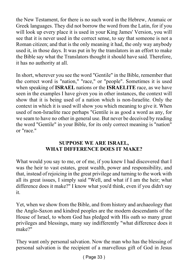the New Testament, for there is no such word in the Hebrew, Aramaic or Greek languages. They did not borrow the word from the Latin, for if you will look up every place it is used in your King James' Version, you will see that it is never used in the correct sense, to say that someone is not a Roman citizen; and that is the only meaning it had, the only way anybody used it, in those days. It was put in by the translators in an effort to make the Bible say what the Translators thought it should have said. Therefore, it has no authority at all.

In short, wherever you see the word "Gentile" in the Bible, remember that the correct word is "nation," "race," or "people". Sometimes it is used when speaking of **ISRAEL** nations or the **ISRAELITE** race, as we have seen in the examples I have given you in other instances, the context will show that it is being used of a nation which is non-Israelite. Only the context in which it is used will show you which meaning to give it. When used of non-Israelite race perhaps "Gentile is as good a word as any, for we seam to have no other in general use. But never be deceived by reading the word "Gentile" in your Bible, for its only correct meaning is "nation" or "race."

#### **SUPPOSE WE ARE ISRAEL, WHAT DIFFERENCE DOES IT MAKE?**

What would you say to me, or of me, if you knew I had discovered that I was the heir to vast estates, great wealth, power and responsibility, and that, instead of rejoicing in the great privilege and turning to the work with all its great issues, I simply said "Well, and what if I am the heir; what difference does it make?" I know what you'd think, even if you didn't say it.

Yet, when we show from the Bible, and from history and archaeology that the Anglo-Saxon and kindred peoples are the modern descendants of the House of Israel, to whom God has pledged with His oath so many great privileges and blessings, many say indifferently "what difference does it make?"

They want only personal salvation. Now the man who has the blessing of personal salvation is the recipient of a marvellous gift of God in Jesus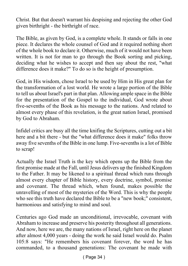Christ. But that doesn't warrant his despising and rejecting the other God given birthright - the birthright of race.

The Bible, as given by God, is a complete whole. It stands or falls in one piece. It declares the whole counsel of God and it required nothing short of the whole book to declare it. Otherwise, much of it would not have been written. It is not for man to go through the Book sorting and picking, deciding what he wishes to accept and then say about the rest, "what difference does it make?" To do so is the height of presumption.

God, in His wisdom, chose Israel to be used by Him in His great plan for the transformation of a lost world. He wrote a large portion of the Bible to tell us about Israel's part in that plan. Allowing ample space in the Bible for the presentation of the Gospel to the individual, God wrote about five-sevenths of the Book as his message to the nations. And related to almost every phase of this revelation, is the great nation Israel, promised by God to Abraham.

Infidel critics are busy all the time knifing the Scriptures, cutting out a bit here and a bit there - but the "what difference does it make" folks throw away five sevenths of the Bible in one lump. Five-sevenths is a lot of Bible to scrap!

Actually the Israel Truth is the key which opens up the Bible from the first promise made at the Fall, until Jesus delivers up the finished Kingdom to the Father. It may be likened to a spiritual thread which runs through almost every chapter of Bible history, every doctrine, symbol, promise and covenant. The thread which, when found, makes possible the unravelling of most of the mysteries of the Word. This is why the people who see this truth have declared the Bible to be a "new book;" consistent, harmonious and satisfying to mind and soul.

Centuries ago God made an unconditional, irrevocable, covenant with Abraham to increase and preserve his posterity throughout all generations. And now, here we are, the many nations of Israel, right here on the planet after almost 4,000 years - doing the work he said Israel would do. Psalm 105:8 says: "He remembers his covenant forever, the word he has commanded, to a thousand generations: The covenant he made with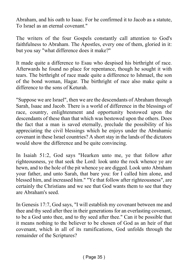Abraham, and his oath to Isaac. For he confirmed it to Jacob as a statute, To Israel as an eternal covenant."

The writers of the four Gospels constantly call attention to God's faithfulness to Abraham. The Apostles, every one of them, gloried in it: but you say "what difference does it make?"

It made quite a difference to Esau who despised his birthright of race. Afterwards he found no place for repentance, though he sought it with tears. The birthright of race made quite a difference to Ishmael, the son of the bond woman, Hagar. The birthright of race also make quite a difference to the sons of Keturah.

"Suppose we are Israel", then we are the descendants of Abraham through Sarah, Isaac and Jacob. There is a world of difference in the blessings of race, country, enlightenment and opportunity bestowed upon the descendants of these than that which was bestowed upon the others. Does the fact that a man is saved eternally, preclude the possibility of his appreciating the civil blessings which he enjoys under the Abrahamic covenant in these Israel countries? A short stay in the lands of the dictators would show the difference and be quite convincing.

In Isaiah 51:2, God says "Hearken unto me, ye that follow after righteousness, ye that seek the Lord: look unto the rock whence ye are hewn, and to the hole of the pit whence ye are digged. Look unto Abraham your father, and unto Sarah, that bare you: for I called him alone, and blessed him, and increased him." "Ye that follow after righteousness", are certainly the Christians and we see that God wants them to see that they are Abraham's seed.

In Genesis 17:7, God says, "I will establish my covenant between me and thee and thy seed after thee in their generations for an everlasting covenant, to be a God unto thee, and to thy seed after thee." Can it be possible that it means nothing to the believer to be chosen of God as an heir of that covenant, which in all of its ramifications, God unfolds through the remainder of the Scriptures?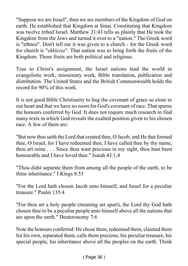"Suppose we are Israel", then we are members of the Kingdom of God on earth. He established that Kingdom at Sinai. Constituting that Kingdom was twelve tribed Israel. Matthew 21:43 tells us plainly that He took the Kingdom from the Jews and turned it over to a "nation." The Greek word is "ethnos". Don't tell me it was given to a church - for the Greek word for church is "*ekklesia*". That nation was to bring forth the fruits of the Kingdom. Those fruits are both political and religious.

True to Christ's assignment, the Israel nations lead the world in evangelistic work, missionary work, Bible translation, publication and distribution. The United States and the British Commonwealth holds the record for 90% of this work.

It is not good Bible Christianity to hug the covenant of grace so close to our heart and that we have no room for God's covenant of race. That spurns the honours conferred by God. It does not require much research to find many texts in which God reveals the exalted position given to his chosen race. A few of them are:

"But now thus saith the Lord that created thee, O Jacob, and He that formed thee, O Israel, for I have redeemed thee, I have called thee by thy name, thou art mine . . . Since thou wast precious in my sight, thou hast been honourable and I have loved thee." Isaiah 43:1,4

"Thou didst separate them from among all the people of the earth, to be thine inheritance." I Kings 8:53

"For the Lord hath chosen Jacob unto himself, and Israel for a peculiar treasure." Psalm 135:4

"For thou art a holy people (meaning set apart), the Lord thy God hath chosen thee to be a peculiar people unto himself above all the nations that are upon the earth." Deuteronomy 7:6

Note the honours conferred: He chose them, redeemed them, claimed them for his own, separated them, calls them precious, his peculiar treasure, his special people, his inheritance above all the peoples on the earth. Think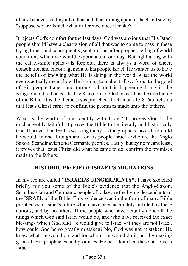of any believer reading all of that and then turning upon his heel and saying "suppose we are Israel: what difference does it make?"

It rejects God's comfort for the last days. God was anxious that His Israel people should have a clear vision of all that was to come to pass in these trying times, and consequently, sent prophet after prophet, telling of world conditions which we would experience in our day. But right along with the cataclysmic upheavals foretold, there is always a word of cheer, consolation and encouragement to his people Israel. He wanted us to have the benefit of knowing what He is doing in the world, what the world events actually mean, how He is going to make it all work out to the good of His people Israel, and through all that is happening bring in the Kingdom of God on earth. The Kingdom of God on earth is the one theme of the Bible. It is the theme Jesus preached. In Romans 15:8 Paul tells us that Jesus Christ came to confirm the promises made unto the fathers.

What is the worth of our identity with Israel? It proves God to be unchangeably faithful. It proves the Bible to be literally and historically true. It proves that God is working today, as the prophets have all foretold he would, in and through and for his people Israel - who are the Anglo Saxon, Scandinavian and Germanic peoples. Lastly, but by no means least, it proves that Jesus Christ did what he came to do, confirm the promises made to the fathers.

#### **HISTORIC PROOF OF ISRAEL'S MIGRATIONS**

In my lecture called **"ISRAEL'S FINGERPRINTS"**, I have sketched briefly for you some of the Bible's evidence that the Anglo-Saxon, Scandinavian and Germanic people of today are the living descendants of the ISRAEL of the Bible. This evidence was in the form of many Bible prophecies of Israel's future which have been accurately fulfilled by these nations, and by no others. If the people who have actually done all the things which God said Israel would do, and who have received the exact blessings which God said He would give to Israel - if they are not Israel, how could God be so greatly mistaken? No, God was not mistaken: He knew what He would do, and for whom He would do it; and by making good all His prophecies and promises, He has identified these nations as Israel.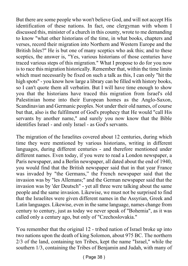But there are some people who won't believe God, and will not accept His identification of these nations. In fact, one clergyman with whom I discussed this, minister of a church in this county, wrote to me demanding to know "what other historians of the time, in what books, chapters and verses, record their migration into Northern and Western Europe and the British Isles?" He is but one of many sceptics who ask this; and to these sceptics, the answer is, "Yes, various historians of those centuries have traced various steps of this migration." What I propose to do for you now is to race this migration historically. Remember that, within the time limits which must necessarily be fixed on such a talk as this, I can only "hit the high spots" - you know how large a library can be filled with history books, so I can't quote them all verbatim. But I will have time enough to show you that the historians have traced this migration from Israel's old Palestinian home into their European homes as the Anglo-Saxon, Scandinavian and Germanic peoples. Not under their old names, of course but that, also is the fulfilment of God's prophecy that He would "call His servants by another name," and surely you now know that the Bible identifies Israel - and only Israel - as God's servants.

The migration of the Israelites covered about 12 centuries, during which time they were mentioned by various historians, writing in different languages, during different centuries - and therefore mentioned under different names. Even today, if you were to read a London newspaper, a Paris newspaper, and a Berlin newspaper, all dated about the end of 1940, you would find that the British newspaper said that in that year France was invaded by "the Germans," the French newspaper said that the invasion was by "les Allemans;" and the German newspaper said that the invasion was by 'der Deutsch" - yet all three were talking about the same people and the same invasion. Likewise, we must not be surprised to find that the Israelites were given different names in the Assyrian, Greek and Latin languages. Likewise, even in the same language, names change from century to century, just as today we never speak of "Bohemia", as it was called only a century ago, but only of "Czechoslovakia."

You remember that the original 12 - tribed nation of Israel broke up into two nations upon the death of king Solomon, about 975 BC. The northern 2/3 of the land, containing ten Tribes, kept the name "Israel," while the southern 1/3, containing the Tribes of Benjamin and Judah, with many of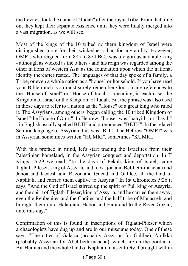the Levites, took the name of "Judah" after the royal Tribe. From that time on, they kept their separate existence until they were finally merged into a vast migration, as we will see.

Most of the kings of the 10 tribed northern kingdom of Israel were distinguished more for their wickedness than for any ability. However, OMRI, who reigned from 885 to 874 BC., was a vigorous and able king - although as wicked as the others - and his reign was regarded among the other nations of western Asia as the foundation upon which the national identity thereafter rested. The languages of that day spoke of a family, a Tribe, or even a whole nation as a "house" or household. If you have read your Bible much, you must surely remember God's many references to the "House of Israel" or "House of Judah" - meaning, in each case, the Kingdom of Israel or the Kingdom of Judah. But the phrase was also used in those days to refer to a nation as the "House" of a great king who ruled it. The Assyrians, among others, began calling the 10 tribed Kingdom of Israel "the House of Omri". In Hebrew, "house" was "bahyith" or "bayth" - in English usually spelled BETH and pronounced "BETH". In the related Semitic language of Assyrian, this was "BIT". The Hebrew "OMRI" was in Assyrian sometimes written "HUMRI", sometimes "KUMRI."

With this preface in mind, let's start tracing the Israelites from their Palestinian homeland, in the Assyrian conquest and deportation. In II Kings 15:29 we read, "In the days of Pekah, king of Israel, came Tiglath-Pileser, king of Assyria, and took Ijon and Bel-beth-maachah and Janoa and Kedesh and Razor and Gilead and Galilee, all the land of Naphtali, and carried them captive to Assyria." In 1st Chronicles 5:26 it says, "And the God of Israel stirred up the spirit of Pul, king of Assyria, and the spirit of Tiglath-Pileser, king of Assyria, and he carried them away, even the Reubenites and the Gadites and the half-tribe of Manasseh, and brought them unto Halah and Habor and Hara and to the River Gozan, unto this day."

Confirmation of this is found in inscriptions of Tiglath-Pileser which archaeologists have dug up and are in our museums today. One of these says: "The cities of Gala'za (probably Assyrian for Galilee), Abilkka (probably Assyrian for Abel-beth maacha), which are on the border of Bit-Humna and the whole land of Naphtali in its entirety, I brought within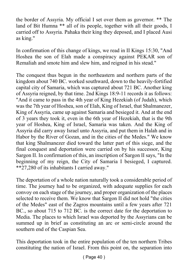the border of Assyria. My official I set over them as governor. \*\* The land of Bit Humna \*\* all of its people, together with all their goods, I carried off to Assyria. Pahaka their king they deposed, and I placed Ausi as king."

In confirmation of this change of kings, we read in II Kings 15:30, "And Hoshea the son of Elah made a conspiracy against PEKAR son of Remaliah and smote him and slew him, and reigned in his stead."

The conquest thus begun in the northeastern and northern parts of the kingdom about 740 BC. worked southward, down to the heavily-fortified capital city of Samaria, which was captured about 721 BC. Another king of Assyria reigned, by that time. 2nd Kings 18:9-11 records it as follows: "And it came to pass in the 4th year of King Hezekiah (of Judah), which was the 7th year of Hoshea, son of Elah, King of Israel, that Shalmanezer, King of Assyria, came up against Samaria and besieged it. And at the end of 3 years they took it, even in the 6th year of Hezekiah, that is the 9th year of Hoshea, King of Israel, Samaria was taken. And the King of Assyria did carry away Israel unto Assyria, and put them in Halah and in Habor by the River of Gozan, and in the cities of the Medes." We know that king Shalmanezer died toward the latter part of this siege, and the final conquest and deportation were carried on by his successor, King Sargon II. In confirmation of this, an inscription of Sargon II says, "In the beginning of my reign, the City of Samaria I besieged, I captured. \*\*27,280 of its inhabitants I carried away."

The deportation of a whole nation naturally took a considerable period of time. The journey had to be organized, with adequate supplies for each convoy on each stage of the journey, and proper organization of the places selected to receive them. We know that Sargon II did not hold "the cities of the Medes" east of the Zagros mountains until a few years after 721 BC., so about 715 to 712 BC, is the correct date for the deportation to Media. The places to which Israel was deported by the Assyrians can be summed up in brief as constituting an arc or semi-circle around the southern end of the Caspian Sea.

This deportation took in the entire population of the ten northern Tribes constituting the nation of Israel. From this point on, the separation into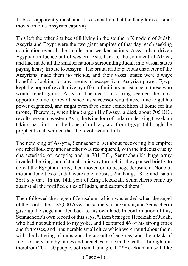Tribes is apparently most, and it is as a nation that the Kingdom of Israel moved into its Assyrian captivity.

This left the other 2 tribes still living in the southern Kingdom of Judah. Assyria and Egypt were the two giant empires of that day, each seeking domination over all the smaller and weaker nations. Assyria had driven Egyptian influence out of western Asia, back to the continent of Africa, and had made all the smaller nations surrounding Judah into vassal states paying heavy tribute to Assyria. The brutal arid rapacious character of the Assyrians made them no friends, and their vassal states were always hopefully looking for any means of escape from Assyrian power. Egypt kept the hope of revolt alive by offers of military assistance to those who would rebel against Assyria. The death of a king seemed the most opportune time for revolt, since his successor would need time to get his power organized, and might even face some competition at home for his throne, Therefore, when king Sargon II of Assyria died, about 705 BC., revolts began in western Asia, the Kingdom of Judah under king Hezekiah taking part in it, in the hope of military aid from Egypt (although the prophet Isaiah warned that the revolt would fail).

The new king of Assyria, Sennacherib, set about recovering his empire; one rebellious city after another was reconquered, with the hideous cruelty characteristic of Assyria; and in 701 BC., Sennachenib's huge army invaded the kingdom of Judah; midway through it, they paused briefly to defeat the Egyptian army, then moved on to besiege Jerusalem. None of the smaller cities of Judah were able to resist. 2nd Kings 18:13 and Isaiah 36:1 say that "In the 14th year of King Hezekiah, Sennacherib came up against all the fortified cities of Judah, and captured them."

Then followed the siege of Jerusalem, which was ended when the angel of the Lord killed 185,000 Assyrian soldiers in on~ night, and Sennacherib gave up the siege and fled back to his own land. In confirmation of this, Sennacherib's own record of this says, "I then besieged Hezekiah of Judah, who had not submitted to my yoke, and I captured 46 of his strong cities and fortresses, and innumerable small cities which were round about them. with the battering of rams and the assault of engines, and the attack of foot-soldiers, and by mines and breaches made in the walls. I brought out therefrom 200,150 people, both small and great. \*\*Hezekiah himself, like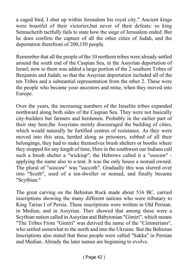a caged bird, I shut up within Jerusalem his royal city." Ancient kings were boastful of their victories,but never of their defeats: so king Sennacherib tactfully fails to state how the siege of Jerusalem ended. But he does confirm the capture of all the other cities of Judah, and the deportation therefrom of 200,150 people.

Remember that all the people of the 10 northern tribes were already settled around the south end of the Caspian Sea, in the Assyrian deportation of Israel; now to them was added a large portion of the 2 southern Tribes of Benjamin and Judah; so that the Assyrian deportation included all of the ten Tribes and a substantial representation from the other 2. These were the people who became your ancestors and mine, when they moved into Europe.

Over the years, the increasing numbers of the Israelite tribes expanded northward along both sides of the Caspian Sea. They were not basically city-builders but farmers and herdsmen. Probably in the earlier part of their stay here,the Assyrians sternly discouraged the building of cities, which would naturally be fortified centres of resistance. As they were moved into this area, herded along as prisoners, robbed of all their belongings, they had to make themselves brush shelters or booths where they stopped for any length of time, Here in the southwest our Indians call such a brush shelter a "wickiup''; the Hebrews called it a "soocaw'' applying the name also to a tent. It was the only house a nomad owned. The plural of "soocaw" was "succoth". Gradually this was slurred over into "Scuth", used of a ten-dweller or nomad, and finally became "Scythian."

The great carving on the Behistun Rock made about 516 BC. carried inscriptions showing the many different nations who were tributary to King Tarius I of Persia. These inscriptions were written in Old Persian. in Median, and in Assyrian. Thev showed that among these were a Scythian nation called in Assyrian and Babytonian "Gimiri", which means "The Tribes From "Gimiri" was derived the name of the "Cimmerians", who settled somewhat to the north and into the Ukraine. But the Behistun Inscriptions also stated that these people were called "Sakka" in Persian and Median. Already the later names are beginning to evolve.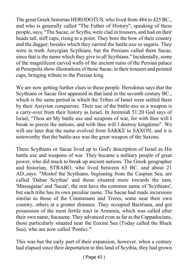The great Greek historian HERODOTUS, who lived from 484 to 425 BC., and who is generally called "The Father of History", speaking of these people, says, "The Sacae, or Scyths, were clad in trousers, and had on their heads tall, stiff caps, rising to a point. They bore the bow of their country and the dagger; besides which they carried the battle-axe or sagaris. They were in truth Amyrgian Scythians, but the Persians called them Sacae, since that is the name which they give to all Scythians." Incidentally, some of the magnificent carved walls of the ancient ruins of the Persian palace at Persepolis show illustrations of those Sacae, in their trousers and pointed caps, bringing tribute to the Persian king.

We are now getting further clues to these people. Herodotus says that the Scythians or Sacae first appeared in that land in the seventh century BC., which is the same period in which the Tribes of Israel were settled there by their Assyrian conquerors. Their use of the battle-axe as a weapon is a carry-over from their history as Israel. In Jeremiah 51:20 God says of Israel, "Thou art My battle axe and weapons of war, for with thee will I break in pieces the nations, and with thee will I destroy kingdoms". We will see later that the name evolved from SAKKE to SAXON; and it is noteworthy that the battle-axe was the great weapon of the Saxons.

These Scythians or Sacae lived up to God's description of Israel as His battle axe and weapons of war. They became a military people of great power, who did much to break up ancient nations. The Greek geographer and historian, STRABO, who lived between 63 BC. and about 21 AD.,says: "Mostof the Scythians, beginning from the Caspian Sea, are called 'Dahae Scythae' and those situated more towards the east, 'Massagatae' and 'Sacae'; the rest have the common name of 'Scythians', but each tribe has its own peculiar name. The Sacae had made incursions similar to those of the Cimmenans and Treres, some near their own country, others at a greater distance. They occupied Bactriana, and got possession of the most fertile tract in Armenia, which was called after their own name, Sacasene. They advanced even as far as the Cappadocians, those particularly situated near the Euxine Sea (Today called the Black Sea), who are now called 'Pontici.'"

This was but the early part of their expansion, however. when a century had elapsed since their deportation to this land of Scythia, they had grown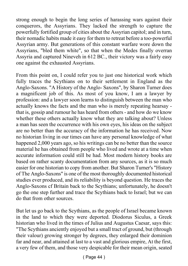strong enough to begin the long series of harassing wars against their conquerors, the Assyrians. They lacked the strength to capture the powerfully fortified group of cities about the Assyrian capitol; and in turn, their nomadic habits made it easy for them to retreat before a too-powerful Assyrian army. But generations of this constant warfare wore down the Assyrians, "bled them white", so that when the Medes finally overran Assyria and captured Nineveh in 612 BC., their victory was a fairly easy one against the exhausted Assyrians.

From this point on, I could refer you to just one historical work which fully traces the Scythians on to their settlement in England as the Anglo-Saxons. "A History of the Anglo- Saxons", by Sharon Turner does a magnificent job of this. As most of you know, I am a lawyer by profession: and a lawyer soon learns to distinguish between the man who actually knows the facts and the man who is merely repeating hearsay that is, gossip and rumour he has heard from others - and how do we know whether these others actually know what they are talking about? Unless a man has seen the occurrence with his own eyes, his ideas on the subject are no better than the accuracy of the information he has received. Now no historian living in our times can have any personal knowledge of what happened 2,000 years ago, so his writings can be no better than the source material he has obtained from people who lived and wrote at a time when accurate information could still be had. Most modern history books are based on rather scanty documentation from any sources, as it is so much easier for one historian to copy from another. But Sharon Turner's "History of The Anglo-Saxons" is one of the most thoroughly documented historical studies ever produced, and its reliability is beyond question. He traces the Anglo-Saxons cf Britain back to the Scythians; unfortunately, he doesn't go the one step further and trace the Scythians back to Israel; but we can do that from other sources.

But let us go back to the Scythians, as the people of Israel became known in the land to which they were deported. Diodorus Siculus, a Greek historian who lived in the times of Julius and Augustus Caesar, says this: "The Scythians anciently enjoyed but a small tract of ground, but (through their valour) growing stronger by degrees, they enlarged their dominion far and near, and attained at last to a vast and glorious empire, At the first, a very few of them, and those very despicable for their mean origin, seated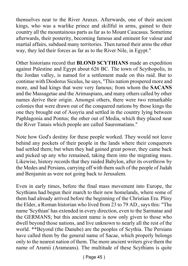themselves near to the River Araxes. Afterwards, one of their ancient kings, who was a warlike prince and skillful in arms, gained to their country all the mountainous parts as far as to Mount Caucasus. Sometime afterwards, their posterity, becoming famous and eminent for valour and martial affairs, subdued many territories. Then turned their arms the other way, they led their forces as far as to the River Nile, in Egypt."

Other historians record that **BLOND SCYTHIANS** made an expedition against Palestine and Egypt about 626 BC. The town of Scythopolis, in the Jordan valley, is named for a settlement made on this raid. But to continue with Diodorus Siculus, he says, "This nation prospered more and more, and had kings that were very famous; from whom the **SACANS** and the Massagetae and the Arimaspians, and many others called by other names derive their origin. Amongst others, there were two remarkable colonies that were drawn out of the conquered nations by those kings the one they brought out of Assyria and settled in the country lying between Paphlagonia and Pontus; the other out of Media, which they placed near the River Tanais which people are called Sauromatians."

Note how God's destiny for these people worked. They would not leave behind any pockets of their people in the lands where their conquerors had settled them; but when they had gained great power, they came back and picked up any who remained, taking them into the migrating mass. Likewise, history records that they raided Babylon, after its overthrow by the Medes and Persians, carrying off with them such of the people of Judah and Benjamin as were not going back to Jerusalem.

Even in early times, before the final mass movement into Europe, the Scythians had begun their march to their new homelands, where some of them had already arrived before the beginning of the Christian Era. Pliny the Elder, a Roman historian who lived from 23 to 79 AD., says this: "The name 'Scythian' has extended in every direction, even to the Sarmatae and the GERMANS; but this ancient name is now only given to those who dwell beyond those nations, and live unknown to nearly all the rest of the world. \*\*Beyond (the Danube) are the peoples of Scythia. The Persians have called them by the general name of Sacae, which properly belongs only to the nearest nation of them. The more ancient writers give them the name of Aramii (Arameans). The multitude of these Scythians is quite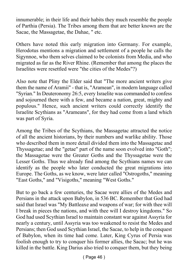innumerable; in their life and their habits they much resemble the people of Parthia (Persia). The Tribes among them that are better known are the Sacae, the Massagetae, the Dahae, " etc.

Others have noted this early migration into Germany. For example, Herodotus mentions a migration and settlement of a people he calls the Sigynnoe, who them selves claimed to be colonists from Media, and who migrated as far as the River Rhine. (Remember that among the places the Israelites were resettled were "the cities of the Medes"?)

Also note that Pliny the Elder said that "The more ancient writers give them the name of Aramii" - that is, "Aramean", in modern language called "Syrian." In Deuteronomy 26:5, every Israelite was commanded to confess and sojourned there with a few, and became a nation, great, mighty and populous." Hence, such ancient writers could correctly identify the Israelite Scythians as "Arameans", for they had come from a land which was part of Syria.

Among the Tribes of the Scythians, the Massagetac attracted the notice of all the ancient historians, by their numbers and warlike ability. Those who described them in more detail divided them into the Massagetac and Thyssagetae; and the "getae" part of the name soon evolved into "Goth"; the Massagetae were the Greater Goths and the Thyssagetae were the Lesser Goths. Thus we already find among the Scythians names we can identify as the people who later conducted the great migrations into Europe. The Goths, as we know, were later called "Ostrogoths," meaning "East Goths," and "Visigoths," meaning "West Goths."

But to go back a few centuries, the Sacae were allies of the Medes and Persians in the attack upon Babylon, in 536 BC. Remember that God had said that Israel was "My Battleaxe and weapons of war; for with thee will I break in pieces the nations, and with thee will I destroy kingdoms." So God had used Scythian Israel to maintain constant war against Assyria for nearly a century, until Assyria was too weakened to resist the Medes and Persians; then God used Scythian Israel, the Sacae, to help in the conquest of Babylon, when its time had come. Later, King Cyrus of Persia was foolish enough to try to conquer his former allies, the Sacac; but he was killed in the battle. King Darius also tried to conquer them, but they being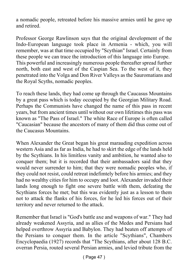a nomadic people, retreated before his massive armies until he gave up and retired.

Professor George Rawlinson says that the original development of the Indo-European language took place in Armenia - which, you will remember, was at that time occupied by "Scythian" Israel. Certainly from these people we can trace the introduction of this language into Europe. This powerful and increasingly numerous people thereafter spread further north, both east and west of the Caspian Sea. To the west of it, they penetrated into the Volga and Don River Valleys as the Sauromatians and the Royal Scyths, nomadic peoples.

To reach these lands, they had come up through the Caucasus Mountains by a great pass which is today occupied by the Georgian Military Road. Perhaps the Communists have changed the name of this pass in recent years, but from ancient times until without our own lifetimes this pass was known as "The Pass of Israel." The white Race of Europe is often called "Caucasian" because the ancestors of many of them did thus come out of the Caucasus Mountains.

When Alexander the Great began his great marauding expedition across western Asia and as far as India, he had to skirt the edge of the lands held by the Scythians. In his limitless vanity and ambition, he wanted also to conquer them; but it is recorded that their ambassadors said that they would never surrender to him; that they were nomadic peoples who, if they could not resist, could retreat indefimtely before his armies; and they had no wealthy cities for him to occupy and loot. Alexander invaded their lands long enough to fight one severe battle with them, defeating the Scythians forces he met; but this was evidently just as a lesson to them not to attack the flanks of his forces, for he led his forces out of their territory and never returned to the attack.

Remember that Israel is "God's battle axe and weapons of war." They had already weakened Assyria, and as allies of the Medes and Persians had helped overthrow Assyria and Babylon. They had beaten off attempts of the Persians to conquer them. In the article "Scythians", Chambers Encyclopaedia (1927) records that "The Scythians, after about 128 B.C. overran Persia, routed several Persian armies, and levied tribute from the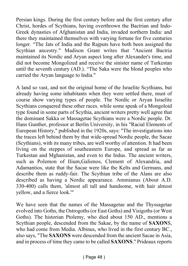Persian kings. During the first century before and the first century after Christ, hordes of Scythians, having overthrown the Bactrian and Indo-Greek dynasties of Afghanistan and India, invaded northern India: and there they maintained themselves with varying fortune for five centuries longer. "The Jats of India and the Rajputs have both been assigned the Scythian ancestry." Madison Grant writes that "Ancient Bactria maintained its Nordic and Aryan aspect long after Alexander's time, and did not become Mongolized and receive the sinister name of Turkestan until the seventh century (AD.). "The Saka were the blond peoples who carried the Aryan language to India."

A land so vast, and not the original home of the Israelite Scythians, but already having some inhabitants when they were settled there, must of course show varying types of people. The Nordic or Aryan Israelite Scythians conquered these other races. while some speak of a Mongoloid type found in some parts of Scythia, ancient writers pretty well agree that the dominant Sakka or Massagetae Scythians were a Nordic people. Dr. Hans Gunther, professor at Berlin University, in his "Racial Elements of European History," published in the 1920s, says: "The investigations into the traces left behind them by that wide-spread Nordic people, the Sacae (Scythians), with its many tribes, are well worthy of attention. It had been living on the steppes of southeastern Europe, and spread as far as Turkestan and Mghanistan, and even to the Indus. The ancient writers, such as Polemon of Ilium,Galienos, Clement of Alexandria, and Adamantios, state that the Sacae were like the Kelts and Germans, and describe them as ruddy-fair. The Scythian tribe of the Alans are also described as having a Nordic appearance. Ammianus (About A.D. 330-400) calls them, 'almost all tall and handsome, with hair almost yellow, and a fierce look.'"

We have seen that the names of the Massagetae and the Thyssagetae evolved into Goths, the Ostrogoths (or East Goths) and Visigoths (or West Goths). The historian Ptolemy, who died about 150 AD., mentions a Scythian people, descended from the Sakae, by the name of **SAXON**S, who had come from Media. Albinus, who lived in the first century BC., also says, "The **SAXONS** were descended from the ancient Sacae in Asia, and in process of time they came to be called **SAXONS**." Prideaux reports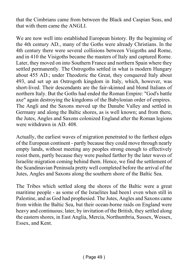that the Cimbrians came from between the Black and Caspian Seas, and that with them came the ANGLI.

We are now well into established European history. By the beginning of the 4th century AD., many of the Goths were already Christians. In the 4th century there were several collisions between Visigoths and Rome, and in 410 the Visigoths became the masters of Italy and captured Rome. Later, they moved on into Southern France and northern Spain where they settled permanently. The Ostrogoths settled in what is modern Hungary about 455 AD.; under Theodoric the Great, they conquered Italy about 493, and set up an Ostrogoth kingdom in Italy, which, however, was short-lived. Their descendants are the fair-skinned and blond Italians of northern Italy. But the Goths had ended the Roman Empire: "God's battle axe" again destroying the kingdoms of the Babylonian order of empires. The Angli and the Saxons moved up the Danube Valley and settled in Germany and along the Baltic shores, as is well known; and from there, the Jutes, Angles and Saxons colonized England after the Roman legions were withdrawn in AD. 408.

Actually, the earliest waves of migration penetrated to the farthest edges of the European continent - partly because they could move through nearly empty lands, without meeting any peoples strong enough to effectively resist them, partly because they were pushed farther by the later waves of Israelite migration coming behind them. Hence, we find the settlement of the Scandinavian Peninsula pretty well completed before the arrival of the Jutes, Angles and Saxons along the southern shore of the Baltic Sea.

The Tribes which settled along the shores of the Baltic were a great maritime people - as some of the Israelites had been1 even when still in Palestine, and as God had prophesied. The Jutes, Angles and Saxons came from within the Baltic Sea, but their ocean-borne raids on England were heavy and continuous; later, by invitation of the British, they settled along the eastern shores, in East Anglia, Mercia, Northumbria, Sussex, Wessex, Essex, and Kent.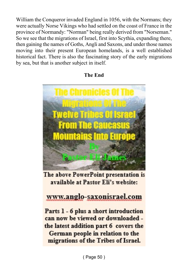William the Conqueror invaded England in 1056, with the Normans; they were actually Norse Vikings who had settled on the coast of France in the province of Normandy: "Norman" being really derived from "Norseman." So we see that the migrations of Israel, first into Scythia, expanding there, then gaining the names of Goths, Angli and Saxons, and under those names moving into their present European homelands, is a well established historical fact. There is also the fascinating story of the early migrations by sea, but that is another subject in itself.





The above PowerPoint presentation is available at Pastor Eli's website:

### www.anglo-saxonisrael.com

Parts 1 - 6 plus a short introduction can now be viewed or downloaded the latest addition part 6 covers the German people in relation to the migrations of the Tribes of Israel.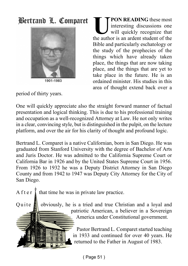## Bertrand L. Comparet



1901-1983

**ULLEADING** these most<br>interesting discussions one<br>will quickly recognize that<br>the author is an ardent student of the **PON READING** these most interesting discussions one will quickly recognize that Bible and particularly eschatology or the study of the prophecies of the things which have already taken place, the things that are now taking place, and the things that are yet to take place in the future. He is an ordained minister. His studies in this area of thought extend back over a

period of thirty years.

One will quickly appreciate also the straight forward manner of factual presentation and logical thinking. This is due to his professional training and occupation as a well-recognized Attorney at Law. He not only writes in a clear, convincing style, but is distinguished in the pulpit, on the lecture platform, and over the air for his clarity of thought and profound logic.

Bertrand L. Comparet is a native Californian, born in San Diego. He was graduated from Stanford University with the degree of Bachelor of Arts and Juris Doctor. He was admitted to the California Supreme Court or California Bar in 1926 and by the United States Supreme Court in 1956. From 1926 to 1932 he was a Deputy District Attorney in San Diego County and from 1942 to 1947 was Deputy City Attorney for the City of San Diego.

A f t e r  $\frac{1}{k}$  that time he was in private law practice.

Quite  $\mathbf{A}$  obviously, he is a tried and true Christian and a loyal and patriotic American, a believer in a Sovereign America under Constitutional government.